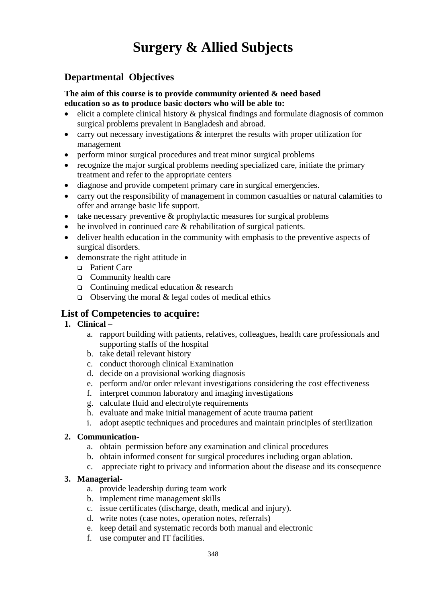## **Surgery & Allied Subjects**

### **Departmental Objectives**

#### **The aim of this course is to provide community oriented & need based education so as to produce basic doctors who will be able to:**

- elicit a complete clinical history & physical findings and formulate diagnosis of common surgical problems prevalent in Bangladesh and abroad.
- carry out necessary investigations  $\&$  interpret the results with proper utilization for management
- perform minor surgical procedures and treat minor surgical problems
- recognize the major surgical problems needing specialized care, initiate the primary treatment and refer to the appropriate centers
- diagnose and provide competent primary care in surgical emergencies.
- carry out the responsibility of management in common casualties or natural calamities to offer and arrange basic life support.
- take necessary preventive  $\&$  prophylactic measures for surgical problems
- be involved in continued care & rehabilitation of surgical patients.
- deliver health education in the community with emphasis to the preventive aspects of surgical disorders.
- demonstrate the right attitude in
	- ❑ Patient Care
	- ❑ Community health care
	- ❑ Continuing medical education & research
	- □ Observing the moral  $&$  legal codes of medical ethics

#### **List of Competencies to acquire:**

#### **1. Clinical –**

- a. rapport building with patients, relatives, colleagues, health care professionals and supporting staffs of the hospital
- b. take detail relevant history
- c. conduct thorough clinical Examination
- d. decide on a provisional working diagnosis
- e. perform and/or order relevant investigations considering the cost effectiveness
- f. interpret common laboratory and imaging investigations
- g. calculate fluid and electrolyte requirements
- h. evaluate and make initial management of acute trauma patient
- i. adopt aseptic techniques and procedures and maintain principles of sterilization

#### **2. Communication-**

- a. obtain permission before any examination and clinical procedures
- b. obtain informed consent for surgical procedures including organ ablation.
- c. appreciate right to privacy and information about the disease and its consequence

#### **3. Managerial-**

- a. provide leadership during team work
- b. implement time management skills
- c. issue certificates (discharge, death, medical and injury).
- d. write notes (case notes, operation notes, referrals)
- e. keep detail and systematic records both manual and electronic
- f. use computer and IT facilities.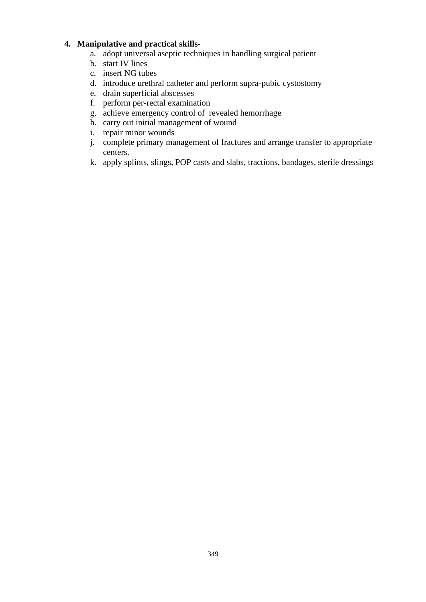#### **4. Manipulative and practical skills-**

- a. adopt universal aseptic techniques in handling surgical patient
- b. start IV lines
- c. insert NG tubes
- d. introduce urethral catheter and perform supra-pubic cystostomy
- e. drain superficial abscesses
- f. perform per-rectal examination
- g. achieve emergency control of revealed hemorrhage
- h. carry out initial management of wound
- i. repair minor wounds
- j. complete primary management of fractures and arrange transfer to appropriate centers.
- k. apply splints, slings, POP casts and slabs, tractions, bandages, sterile dressings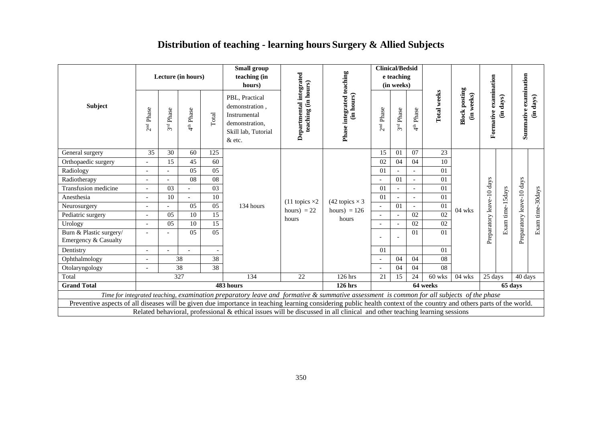## **Distribution of teaching - learning hours Surgery & Allied Subjects**

|                                                                                                                                                                      |                       |                          | Lecture (in hours)    |                 | <b>Small group</b><br>teaching (in<br>hours)                                                                                             |                                                |                                         |                          | <b>Clinical/Bedsid</b><br>e teaching<br>(in weeks) |                          |             |                                    |                           |            |                           |                  |
|----------------------------------------------------------------------------------------------------------------------------------------------------------------------|-----------------------|--------------------------|-----------------------|-----------------|------------------------------------------------------------------------------------------------------------------------------------------|------------------------------------------------|-----------------------------------------|--------------------------|----------------------------------------------------|--------------------------|-------------|------------------------------------|---------------------------|------------|---------------------------|------------------|
| Subject                                                                                                                                                              | 2 <sup>nd</sup> Phase | Phase<br>3 <sup>rd</sup> | 4 <sup>th</sup> Phase | Total           | PBL, Practical<br>demonstration.<br>Instrumental<br>demonstration,<br>Skill lab, Tutorial<br>& etc.                                      | Departmental integrated<br>teaching (in hours) | Phase integrated teaching<br>(in hours) | 2 <sup>nd</sup> Phase    | Phase<br>3 <sup>rd</sup>                           | Phase<br>4 <sup>th</sup> | Total weeks | <b>Block posting</b><br>(in weeks) | Formative examination     | days)<br>€ | Summative examination     | (in days)        |
| General surgery                                                                                                                                                      | 35                    | 30                       | 60                    | 125             |                                                                                                                                          |                                                |                                         | 15                       | 01                                                 | 07                       | 23          |                                    |                           |            |                           |                  |
| Orthopaedic surgery                                                                                                                                                  |                       | 15                       | 45                    | 60              |                                                                                                                                          |                                                |                                         | 02                       | 04                                                 | 04                       | 10          |                                    |                           |            |                           |                  |
| Radiology                                                                                                                                                            |                       |                          | 05                    | $\overline{05}$ |                                                                                                                                          |                                                |                                         | 01                       |                                                    |                          | 01          |                                    | Preparatory leave-10 days |            |                           |                  |
| Radiotherapy                                                                                                                                                         |                       |                          | 08                    | $\overline{08}$ |                                                                                                                                          |                                                |                                         |                          | 01                                                 |                          | 01          |                                    |                           |            |                           |                  |
| Transfusion medicine                                                                                                                                                 |                       | 0 <sub>3</sub>           |                       | 03              |                                                                                                                                          |                                                |                                         | 01                       |                                                    |                          | 01          |                                    |                           |            |                           |                  |
| Anesthesia                                                                                                                                                           |                       | 10                       |                       | 10              |                                                                                                                                          | $(11 \text{ topics} \times 2)$                 | (42 topics $\times$ 3                   | 01                       |                                                    |                          | 01          |                                    |                           | Sdays      |                           |                  |
| Neurosurgery                                                                                                                                                         |                       |                          | 05                    | $\overline{05}$ | 134 hours                                                                                                                                | hours) = $22$                                  | hours) = $126$                          | $\overline{\phantom{a}}$ | $\Omega$                                           |                          | 01          | $04$ wks                           |                           | time-      |                           |                  |
| Pediatric surgery                                                                                                                                                    |                       | 05                       | 10                    | $\overline{15}$ |                                                                                                                                          | hours                                          | hours                                   |                          |                                                    | 02                       | 02          |                                    |                           |            |                           | Exam time-30days |
| Urology                                                                                                                                                              |                       | 05                       | 10                    | 15              |                                                                                                                                          |                                                |                                         |                          |                                                    | 02                       | 02          |                                    |                           |            |                           |                  |
| Burn & Plastic surgery/<br>Emergency & Casualty                                                                                                                      |                       |                          | 0.5                   | $\overline{05}$ |                                                                                                                                          |                                                |                                         |                          | $\overline{\phantom{a}}$                           | $\Omega$                 | 01          |                                    |                           |            | Preparatory leave-10 days |                  |
| Dentistry                                                                                                                                                            | $\qquad \qquad -$     | $\overline{a}$           |                       |                 |                                                                                                                                          |                                                |                                         | 01                       |                                                    |                          | 01          |                                    |                           |            |                           |                  |
| Ophthalmology                                                                                                                                                        |                       |                          | 38                    | $\overline{38}$ |                                                                                                                                          |                                                |                                         |                          | 04                                                 | 04                       | 08          |                                    |                           |            |                           |                  |
| Otolaryngology                                                                                                                                                       |                       |                          | 38                    | 38              |                                                                                                                                          |                                                |                                         |                          | 04                                                 | 04                       | 08          |                                    |                           |            |                           |                  |
| Total                                                                                                                                                                |                       |                          | 327                   |                 | 134                                                                                                                                      | 22                                             | 126 hrs                                 | 21                       | 15                                                 | 24                       | 60 wks      | $04$ wks                           | 25 days                   |            | 40 days                   |                  |
| <b>Grand Total</b>                                                                                                                                                   |                       |                          |                       |                 | 483 hours                                                                                                                                |                                                | <b>126 hrs</b>                          |                          |                                                    |                          | 64 weeks    |                                    |                           |            | 65 days                   |                  |
|                                                                                                                                                                      |                       |                          |                       |                 | Time for integrated teaching, examination preparatory leave and formative & summative assessment is common for all subjects of the phase |                                                |                                         |                          |                                                    |                          |             |                                    |                           |            |                           |                  |
| Preventive aspects of all diseases will be given due importance in teaching learning considering public health context of the country and others parts of the world. |                       |                          |                       |                 |                                                                                                                                          |                                                |                                         |                          |                                                    |                          |             |                                    |                           |            |                           |                  |
|                                                                                                                                                                      |                       |                          |                       |                 | Related behavioral, professional $\&$ ethical issues will be discussed in all clinical and other teaching learning sessions              |                                                |                                         |                          |                                                    |                          |             |                                    |                           |            |                           |                  |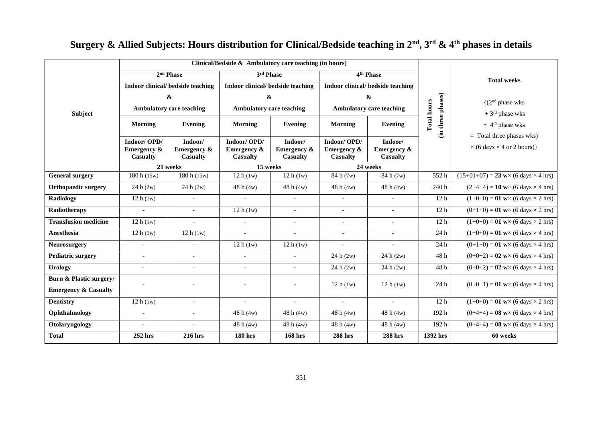|                                    |                                                          |                                                      | Clinical/Bedside $\&$ Ambulatory care teaching (in hours) |                                           |                                                          |                                           |                                         |                                                                         |  |  |
|------------------------------------|----------------------------------------------------------|------------------------------------------------------|-----------------------------------------------------------|-------------------------------------------|----------------------------------------------------------|-------------------------------------------|-----------------------------------------|-------------------------------------------------------------------------|--|--|
|                                    |                                                          | 2 <sup>nd</sup> Phase                                | 3rd Phase                                                 |                                           |                                                          | 4 <sup>th</sup> Phase                     |                                         | <b>Total weeks</b>                                                      |  |  |
|                                    |                                                          | Indoor clinical/ bedside teaching                    | Indoor clinical/ bedside teaching                         |                                           |                                                          | Indoor clinical/ bedside teaching         |                                         |                                                                         |  |  |
|                                    |                                                          | &                                                    | $\boldsymbol{\alpha}$                                     |                                           |                                                          | $\pmb{\&}$                                |                                         | (2 <sup>nd</sup> phase wks)                                             |  |  |
| <b>Subject</b>                     |                                                          | <b>Ambulatory care teaching</b>                      | <b>Ambulatory care teaching</b>                           |                                           | <b>Ambulatory care teaching</b>                          |                                           |                                         | $+3rd$ phase wks                                                        |  |  |
|                                    | Morning<br><b>Evening</b>                                |                                                      | <b>Morning</b>                                            | Evening                                   | Morning                                                  | Evening                                   | (in three phases)<br><b>Total hours</b> | $+4$ <sup>th</sup> phase wks                                            |  |  |
|                                    | Indoor/OPD/<br><b>Emergency &amp;</b><br><b>Casualty</b> | Indoor/<br><b>Emergency &amp;</b><br><b>Casualty</b> | Indoor/OPD/<br><b>Emergency &amp;</b><br><b>Casualty</b>  | Indoor/<br>Emergency &<br><b>Casualty</b> | Indoor/OPD/<br><b>Emergency &amp;</b><br><b>Casualty</b> | Indoor/<br>Emergency &<br><b>Casualty</b> |                                         | $=$ Total three phases wks)<br>$\times$ (6 days $\times$ 4 or 2 hours)} |  |  |
|                                    | 21 weeks                                                 |                                                      | 15 weeks                                                  |                                           | 24 weeks                                                 |                                           |                                         |                                                                         |  |  |
| <b>General surgery</b>             | 180 h (15w)                                              | 180 h (15w)                                          | 12h(1w)                                                   | 12 h(1w)                                  | 84 h (7w)                                                | 84 h (7w)                                 | 552h                                    | $\overline{(15+01+07)} = 23$ w× (6 days × 4 hrs)                        |  |  |
| <b>Orthopaedic surgery</b>         | 24 h (2w)                                                | 24 h (2w)                                            | 48h(4w)                                                   | 48h(4w)                                   | 48h(4w)                                                  | 48h(4w)                                   | 240h                                    | $(2+4+4) = 10$ w× (6 days × 4 hrs)                                      |  |  |
| <b>Radiology</b>                   | 12h(1w)                                                  |                                                      |                                                           |                                           |                                                          |                                           | 12 <sub>h</sub>                         | $(1+0+0) = 01$ w× (6 days × 2 hrs)                                      |  |  |
| Radiotherapy                       | $\sim$                                                   | $\overline{a}$                                       | 12h(1w)                                                   | $\overline{\phantom{a}}$                  | $\overline{a}$                                           | $\bar{a}$                                 | 12 <sub>h</sub>                         | $(0+1+0) = 01$ w× (6 days × 2 hrs)                                      |  |  |
| <b>Transfusion medicine</b>        | 12 h(1w)                                                 | $\overline{a}$                                       | $\overline{\phantom{a}}$                                  | $\overline{\phantom{a}}$                  | $\equiv$                                                 | $\overline{\phantom{a}}$                  | 12 <sub>h</sub>                         | $(1+0+0) = 01$ w× (6 days × 2 hrs)                                      |  |  |
| <b>Anesthesia</b>                  | 12 h(1w)                                                 | 12h(1w)                                              | $\overline{a}$                                            | $\overline{a}$                            | $\overline{a}$                                           | $\overline{\phantom{0}}$                  | 24 h                                    | $(1+0+0) = 01$ w× (6 days × 4 hrs)                                      |  |  |
| <b>Neurosurgery</b>                | $\overline{\phantom{a}}$                                 | $\overline{a}$                                       | 12h(1w)                                                   | 12 h(1w)                                  |                                                          | $\overline{\phantom{a}}$                  | 24 h                                    | $(0+1+0) = 01$ w× (6 days × 4 hrs)                                      |  |  |
| <b>Pediatric surgery</b>           | $\overline{\phantom{a}}$                                 | $\overline{\phantom{a}}$                             | $\sim$                                                    | $\overline{\phantom{a}}$                  | 24 h (2w)                                                | 24h(2w)                                   | 48h                                     | $(0+0+2) = 02$ w× (6 days × 4 hrs)                                      |  |  |
| <b>Urology</b>                     | $\overline{\phantom{a}}$                                 | $\overline{a}$                                       | $\overline{\phantom{a}}$                                  | $\overline{\phantom{a}}$                  | 24 h (2w)                                                | 24 h (2w)                                 | 48h                                     | $(0+0+2) = 02$ w× (6 days × 4 hrs)                                      |  |  |
| <b>Burn &amp; Plastic surgery/</b> |                                                          |                                                      |                                                           | $\overline{a}$                            | 12 h(1w)                                                 | 12 h(1w)                                  | 24 h                                    |                                                                         |  |  |
| <b>Emergency &amp; Casualty</b>    |                                                          |                                                      |                                                           |                                           |                                                          |                                           |                                         | $(0+0+1) = 01$ w× (6 days × 4 hrs)                                      |  |  |
| <b>Dentistry</b>                   | 12 h(1w)                                                 | $\sim$                                               | $\overline{a}$                                            | $\overline{a}$                            | $\overline{a}$                                           | $\sim$                                    | 12 <sub>h</sub>                         | $(1+0+0) = 01$ w× (6 days × 2 hrs)                                      |  |  |
| Ophthalmology                      | $\overline{\phantom{a}}$                                 | $\sim$                                               | 48h(4w)                                                   | 48h(4w)                                   | 48h(4w)                                                  | 48h(4w)                                   | 192h                                    | $(0+4+4) = 08$ w× (6 days × 4 hrs)                                      |  |  |
| Otolaryngology                     | $\overline{\phantom{a}}$                                 | $\overline{a}$                                       | 48h(4w)                                                   | 48h(4w)                                   | 48h(4w)                                                  | 48 h $(4w)$                               | 192h                                    | $(0+4+4) = 08$ w× (6 days × 4 hrs)                                      |  |  |
| <b>Total</b>                       | 252 hrs                                                  | 216 hrs                                              | <b>180 hrs</b>                                            | <b>168 hrs</b>                            | <b>288 hrs</b>                                           | <b>288 hrs</b>                            | $\overline{1392}$ hrs                   | 60 weeks                                                                |  |  |

## **Surgery & Allied Subjects: Hours distribution for Clinical/Bedside teaching in 2nd, 3rd & 4th phases in details**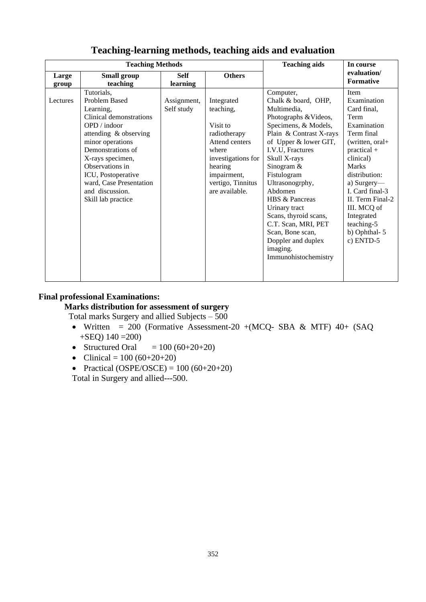|                | <b>Teaching Methods</b>                                                                                                                                                                                                                                                                | <b>Teaching aids</b>      | In course                                                                                                                                                             |                                                                                                                                                                                                                                                                                                                                                                                                                        |                                                                                                                                                                                                                                                                                         |
|----------------|----------------------------------------------------------------------------------------------------------------------------------------------------------------------------------------------------------------------------------------------------------------------------------------|---------------------------|-----------------------------------------------------------------------------------------------------------------------------------------------------------------------|------------------------------------------------------------------------------------------------------------------------------------------------------------------------------------------------------------------------------------------------------------------------------------------------------------------------------------------------------------------------------------------------------------------------|-----------------------------------------------------------------------------------------------------------------------------------------------------------------------------------------------------------------------------------------------------------------------------------------|
| Large<br>group | Small group<br>teaching                                                                                                                                                                                                                                                                | <b>Self</b><br>learning   | <b>Others</b>                                                                                                                                                         |                                                                                                                                                                                                                                                                                                                                                                                                                        | evaluation/<br><b>Formative</b>                                                                                                                                                                                                                                                         |
| Lectures       | Tutorials,<br>Problem Based<br>Learning,<br>Clinical demonstrations<br>OPD / indoor<br>attending & observing<br>minor operations<br>Demonstrations of<br>X-rays specimen,<br>Observations in<br>ICU, Postoperative<br>ward, Case Presentation<br>and discussion.<br>Skill lab practice | Assignment,<br>Self study | Integrated<br>teaching,<br>Visit to<br>radiotherapy<br>Attend centers<br>where<br>investigations for<br>hearing<br>impairment,<br>vertigo, Tinnitus<br>are available. | Computer,<br>Chalk & board, OHP,<br>Multimedia,<br>Photographs & Videos,<br>Specimens, & Models,<br>Plain & Contrast X-rays<br>of Upper & lower GIT,<br>I.V.U, Fractures<br>Skull X-rays<br>Sinogram $&$<br>Fistulogram<br>Ultrasonogrphy,<br>Abdomen<br>HBS & Pancreas<br>Urinary tract<br>Scans, thyroid scans,<br>C.T. Scan, MRI, PET<br>Scan, Bone scan,<br>Doppler and duplex<br>imaging.<br>Immunohistochemistry | Item<br>Examination<br>Card final,<br>Term<br>Examination<br>Term final<br>(written, oral+<br>$practical +$<br>clinical)<br><b>Marks</b><br>distribution:<br>a) Surgery—<br>I. Card final-3<br>II. Term Final-2<br>III. MCQ of<br>Integrated<br>teaching-5<br>b) Ophthal-5<br>c) ENTD-5 |

### **Teaching-learning methods, teaching aids and evaluation**

#### **Final professional Examinations:**

#### **Marks distribution for assessment of surgery**

Total marks Surgery and allied Subjects – 500

- Written = 200 (Formative Assessment-20 +(MCQ- SBA & MTF)  $40+$  (SAQ +SEQ) 140 =200)
- Structured Oral  $= 100 (60+20+20)$
- Clinical =  $100 (60+20+20)$
- Practical (OSPE/OSCE) =  $100 (60+20+20)$

Total in Surgery and allied---500.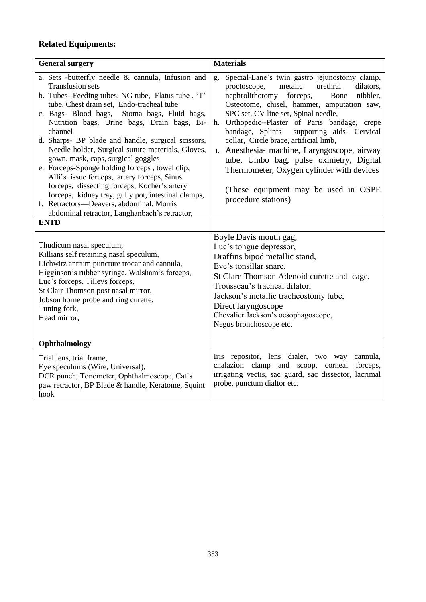### **Related Equipments:**

| <b>General surgery</b>                                                                                                                                                                                                                                                                                                                                                                                                                                                                                                                                                                                                                                                                                                                           | <b>Materials</b>                                                                                                                                                                                                                                                                                                                                                                                                                                                                                                                                                                                   |
|--------------------------------------------------------------------------------------------------------------------------------------------------------------------------------------------------------------------------------------------------------------------------------------------------------------------------------------------------------------------------------------------------------------------------------------------------------------------------------------------------------------------------------------------------------------------------------------------------------------------------------------------------------------------------------------------------------------------------------------------------|----------------------------------------------------------------------------------------------------------------------------------------------------------------------------------------------------------------------------------------------------------------------------------------------------------------------------------------------------------------------------------------------------------------------------------------------------------------------------------------------------------------------------------------------------------------------------------------------------|
| a. Sets -butterfly needle & cannula, Infusion and<br><b>Transfusion sets</b><br>b. Tubes--Feeding tubes, NG tube, Flatus tube, 'T'<br>tube, Chest drain set, Endo-tracheal tube<br>c. Bags- Blood bags, Stoma bags, Fluid bags,<br>Nutrition bags, Urine bags, Drain bags, Bi-<br>channel<br>d. Sharps- BP blade and handle, surgical scissors,<br>Needle holder, Surgical suture materials, Gloves,<br>gown, mask, caps, surgical goggles<br>e. Forceps-Sponge holding forceps, towel clip,<br>Alli's tissue forceps, artery forceps, Sinus<br>forceps, dissecting forceps, Kocher's artery<br>forceps, kidney tray, gully pot, intestinal clamps,<br>f. Retractors-Deavers, abdominal, Morris<br>abdominal retractor, Langhanbach's retractor, | Special-Lane's twin gastro jejunostomy clamp,<br>g.<br>proctoscope,<br>metalic<br>urethral<br>dilators,<br>nephrolithotomy forceps,<br>nibbler,<br>Bone<br>Osteotome, chisel, hammer, amputation saw,<br>SPC set, CV line set, Spinal needle,<br>h. Orthopedic--Plaster of Paris bandage, crepe<br>supporting aids- Cervical<br>bandage, Splints<br>collar, Circle brace, artificial limb,<br>i. Anesthesia- machine, Laryngoscope, airway<br>tube, Umbo bag, pulse oximetry, Digital<br>Thermometer, Oxygen cylinder with devices<br>(These equipment may be used in OSPE)<br>procedure stations) |
| <b>ENTD</b>                                                                                                                                                                                                                                                                                                                                                                                                                                                                                                                                                                                                                                                                                                                                      |                                                                                                                                                                                                                                                                                                                                                                                                                                                                                                                                                                                                    |
| Thudicum nasal speculum,<br>Killians self retaining nasal speculum,<br>Lichwitz antrum puncture trocar and cannula,<br>Higginson's rubber syringe, Walsham's forceps,<br>Luc's forceps, Tilleys forceps,<br>St Clair Thomson post nasal mirror,<br>Jobson horne probe and ring curette,<br>Tuning fork,<br>Head mirror,                                                                                                                                                                                                                                                                                                                                                                                                                          | Boyle Davis mouth gag,<br>Luc's tongue depressor,<br>Draffins bipod metallic stand,<br>Eve's tonsillar snare,<br>St Clare Thomson Adenoid curette and cage,<br>Trousseau's tracheal dilator,<br>Jackson's metallic tracheostomy tube,<br>Direct laryngoscope<br>Chevalier Jackson's oesophagoscope,<br>Negus bronchoscope etc.                                                                                                                                                                                                                                                                     |
| Ophthalmology                                                                                                                                                                                                                                                                                                                                                                                                                                                                                                                                                                                                                                                                                                                                    |                                                                                                                                                                                                                                                                                                                                                                                                                                                                                                                                                                                                    |
| Trial lens, trial frame,<br>Eye speculums (Wire, Universal),<br>DCR punch, Tonometer, Ophthalmoscope, Cat's<br>paw retractor, BP Blade & handle, Keratome, Squint<br>hook                                                                                                                                                                                                                                                                                                                                                                                                                                                                                                                                                                        | Iris repositor, lens dialer, two way cannula,<br>chalazion clamp and scoop, corneal forceps,<br>irrigating vectis, sac guard, sac dissector, lacrimal<br>probe, punctum dialtor etc.                                                                                                                                                                                                                                                                                                                                                                                                               |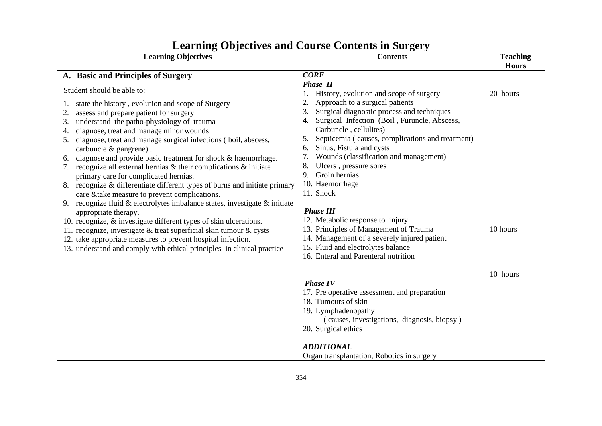| <b>Contents</b>                            | <b>Teaching</b>                                                                                                                                                                                                                                                                                                                                                                                                                                                                                                                                                                                                                                                                                                                                                                                                                                                                                                                                                                             |
|--------------------------------------------|---------------------------------------------------------------------------------------------------------------------------------------------------------------------------------------------------------------------------------------------------------------------------------------------------------------------------------------------------------------------------------------------------------------------------------------------------------------------------------------------------------------------------------------------------------------------------------------------------------------------------------------------------------------------------------------------------------------------------------------------------------------------------------------------------------------------------------------------------------------------------------------------------------------------------------------------------------------------------------------------|
|                                            | <b>Hours</b>                                                                                                                                                                                                                                                                                                                                                                                                                                                                                                                                                                                                                                                                                                                                                                                                                                                                                                                                                                                |
| <b>CORE</b>                                |                                                                                                                                                                                                                                                                                                                                                                                                                                                                                                                                                                                                                                                                                                                                                                                                                                                                                                                                                                                             |
| <b>Phase II</b>                            |                                                                                                                                                                                                                                                                                                                                                                                                                                                                                                                                                                                                                                                                                                                                                                                                                                                                                                                                                                                             |
| 1. History, evolution and scope of surgery | 20 hours                                                                                                                                                                                                                                                                                                                                                                                                                                                                                                                                                                                                                                                                                                                                                                                                                                                                                                                                                                                    |
| Approach to a surgical patients<br>2.      |                                                                                                                                                                                                                                                                                                                                                                                                                                                                                                                                                                                                                                                                                                                                                                                                                                                                                                                                                                                             |
| 3.                                         |                                                                                                                                                                                                                                                                                                                                                                                                                                                                                                                                                                                                                                                                                                                                                                                                                                                                                                                                                                                             |
| 4.                                         |                                                                                                                                                                                                                                                                                                                                                                                                                                                                                                                                                                                                                                                                                                                                                                                                                                                                                                                                                                                             |
|                                            |                                                                                                                                                                                                                                                                                                                                                                                                                                                                                                                                                                                                                                                                                                                                                                                                                                                                                                                                                                                             |
| 5.                                         |                                                                                                                                                                                                                                                                                                                                                                                                                                                                                                                                                                                                                                                                                                                                                                                                                                                                                                                                                                                             |
| 6.                                         |                                                                                                                                                                                                                                                                                                                                                                                                                                                                                                                                                                                                                                                                                                                                                                                                                                                                                                                                                                                             |
|                                            |                                                                                                                                                                                                                                                                                                                                                                                                                                                                                                                                                                                                                                                                                                                                                                                                                                                                                                                                                                                             |
|                                            |                                                                                                                                                                                                                                                                                                                                                                                                                                                                                                                                                                                                                                                                                                                                                                                                                                                                                                                                                                                             |
|                                            |                                                                                                                                                                                                                                                                                                                                                                                                                                                                                                                                                                                                                                                                                                                                                                                                                                                                                                                                                                                             |
|                                            |                                                                                                                                                                                                                                                                                                                                                                                                                                                                                                                                                                                                                                                                                                                                                                                                                                                                                                                                                                                             |
|                                            |                                                                                                                                                                                                                                                                                                                                                                                                                                                                                                                                                                                                                                                                                                                                                                                                                                                                                                                                                                                             |
|                                            |                                                                                                                                                                                                                                                                                                                                                                                                                                                                                                                                                                                                                                                                                                                                                                                                                                                                                                                                                                                             |
|                                            |                                                                                                                                                                                                                                                                                                                                                                                                                                                                                                                                                                                                                                                                                                                                                                                                                                                                                                                                                                                             |
|                                            |                                                                                                                                                                                                                                                                                                                                                                                                                                                                                                                                                                                                                                                                                                                                                                                                                                                                                                                                                                                             |
|                                            | 10 hours                                                                                                                                                                                                                                                                                                                                                                                                                                                                                                                                                                                                                                                                                                                                                                                                                                                                                                                                                                                    |
|                                            |                                                                                                                                                                                                                                                                                                                                                                                                                                                                                                                                                                                                                                                                                                                                                                                                                                                                                                                                                                                             |
|                                            |                                                                                                                                                                                                                                                                                                                                                                                                                                                                                                                                                                                                                                                                                                                                                                                                                                                                                                                                                                                             |
|                                            |                                                                                                                                                                                                                                                                                                                                                                                                                                                                                                                                                                                                                                                                                                                                                                                                                                                                                                                                                                                             |
|                                            |                                                                                                                                                                                                                                                                                                                                                                                                                                                                                                                                                                                                                                                                                                                                                                                                                                                                                                                                                                                             |
|                                            | 10 hours                                                                                                                                                                                                                                                                                                                                                                                                                                                                                                                                                                                                                                                                                                                                                                                                                                                                                                                                                                                    |
|                                            |                                                                                                                                                                                                                                                                                                                                                                                                                                                                                                                                                                                                                                                                                                                                                                                                                                                                                                                                                                                             |
|                                            |                                                                                                                                                                                                                                                                                                                                                                                                                                                                                                                                                                                                                                                                                                                                                                                                                                                                                                                                                                                             |
|                                            |                                                                                                                                                                                                                                                                                                                                                                                                                                                                                                                                                                                                                                                                                                                                                                                                                                                                                                                                                                                             |
|                                            |                                                                                                                                                                                                                                                                                                                                                                                                                                                                                                                                                                                                                                                                                                                                                                                                                                                                                                                                                                                             |
|                                            |                                                                                                                                                                                                                                                                                                                                                                                                                                                                                                                                                                                                                                                                                                                                                                                                                                                                                                                                                                                             |
|                                            |                                                                                                                                                                                                                                                                                                                                                                                                                                                                                                                                                                                                                                                                                                                                                                                                                                                                                                                                                                                             |
|                                            |                                                                                                                                                                                                                                                                                                                                                                                                                                                                                                                                                                                                                                                                                                                                                                                                                                                                                                                                                                                             |
|                                            |                                                                                                                                                                                                                                                                                                                                                                                                                                                                                                                                                                                                                                                                                                                                                                                                                                                                                                                                                                                             |
|                                            | Surgical diagnostic process and techniques<br>Surgical Infection (Boil, Furuncle, Abscess,<br>Carbuncle, cellulites)<br>Septicemia (causes, complications and treatment)<br>Sinus, Fistula and cysts<br>Wounds (classification and management)<br>Ulcers, pressure sores<br>8.<br>9. Groin hernias<br>10. Haemorrhage<br>8. recognize & differentiate different types of burns and initiate primary<br>11. Shock<br>recognize fluid $\&$ electrolytes imbalance states, investigate $\&$ initiate<br><b>Phase III</b><br>12. Metabolic response to injury<br>13. Principles of Management of Trauma<br>14. Management of a severely injured patient<br>15. Fluid and electrolytes balance<br>16. Enteral and Parenteral nutrition<br><b>Phase IV</b><br>17. Pre operative assessment and preparation<br>18. Tumours of skin<br>19. Lymphadenopathy<br>(causes, investigations, diagnosis, biopsy)<br>20. Surgical ethics<br><b>ADDITIONAL</b><br>Organ transplantation, Robotics in surgery |

## **Learning Objectives and Course Contents in Surgery**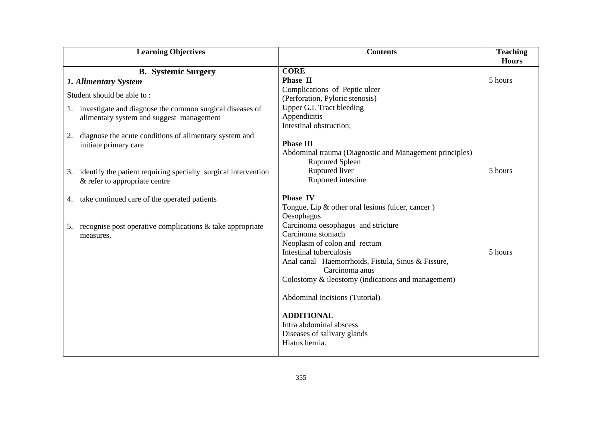| <b>Learning Objectives</b>                                                                         | <b>Contents</b>                                                             | <b>Teaching</b> |
|----------------------------------------------------------------------------------------------------|-----------------------------------------------------------------------------|-----------------|
|                                                                                                    |                                                                             | <b>Hours</b>    |
| <b>B.</b> Systemic Surgery                                                                         | <b>CORE</b>                                                                 |                 |
| 1. Alimentary System                                                                               | Phase II                                                                    | 5 hours         |
| Student should be able to:                                                                         | Complications of Peptic ulcer                                               |                 |
|                                                                                                    | (Perforation, Pyloric stenosis)                                             |                 |
| 1. investigate and diagnose the common surgical diseases of                                        | Upper G.I. Tract bleeding                                                   |                 |
| alimentary system and suggest management                                                           | Appendicitis                                                                |                 |
|                                                                                                    | Intestinal obstruction;                                                     |                 |
| diagnose the acute conditions of alimentary system and<br>2.                                       |                                                                             |                 |
| initiate primary care                                                                              | <b>Phase III</b><br>Abdominal trauma (Diagnostic and Management principles) |                 |
|                                                                                                    | <b>Ruptured Spleen</b>                                                      |                 |
|                                                                                                    | Ruptured liver                                                              | 5 hours         |
| 3. identify the patient requiring specialty surgical intervention<br>& refer to appropriate centre | Ruptured intestine                                                          |                 |
|                                                                                                    |                                                                             |                 |
| 4. take continued care of the operated patients                                                    | <b>Phase IV</b>                                                             |                 |
|                                                                                                    | Tongue, Lip & other oral lesions (ulcer, cancer)                            |                 |
|                                                                                                    | Oesophagus                                                                  |                 |
| 5. recognise post operative complications $\&$ take appropriate                                    | Carcinoma oesophagus and stricture                                          |                 |
| measures.                                                                                          | Carcinoma stomach                                                           |                 |
|                                                                                                    | Neoplasm of colon and rectum                                                |                 |
|                                                                                                    | Intestinal tuberculosis                                                     | 5 hours         |
|                                                                                                    | Anal canal Haemorrhoids, Fistula, Sinus & Fissure,                          |                 |
|                                                                                                    | Carcinoma anus                                                              |                 |
|                                                                                                    | Colostomy & ileostomy (indications and management)                          |                 |
|                                                                                                    | Abdominal incisions (Tutorial)                                              |                 |
|                                                                                                    |                                                                             |                 |
|                                                                                                    | <b>ADDITIONAL</b>                                                           |                 |
|                                                                                                    | Intra abdominal abscess                                                     |                 |
|                                                                                                    | Diseases of salivary glands                                                 |                 |
|                                                                                                    | Hiatus hernia.                                                              |                 |
|                                                                                                    |                                                                             |                 |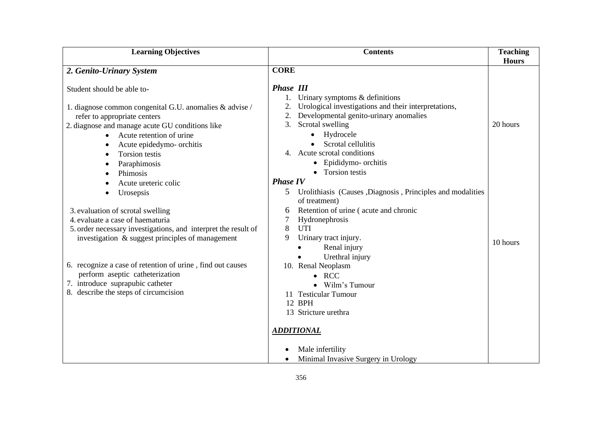| <b>Learning Objectives</b>                                     | <b>Contents</b>                                                 | <b>Teaching</b><br><b>Hours</b> |
|----------------------------------------------------------------|-----------------------------------------------------------------|---------------------------------|
| 2. Genito-Urinary System                                       | <b>CORE</b>                                                     |                                 |
|                                                                |                                                                 |                                 |
| Student should be able to-                                     | <b>Phase III</b>                                                |                                 |
|                                                                | Urinary symptoms $&$ definitions                                |                                 |
| 1. diagnose common congenital G.U. anomalies & advise /        | Urological investigations and their interpretations,<br>2.      |                                 |
| refer to appropriate centers                                   | Developmental genito-urinary anomalies<br>2.                    |                                 |
| 2. diagnose and manage acute GU conditions like                | Scrotal swelling<br>3.                                          | 20 hours                        |
| Acute retention of urine                                       | Hydrocele                                                       |                                 |
| Acute epidedymo- orchitis                                      | Scrotal cellulitis                                              |                                 |
| Torsion testis<br>$\bullet$                                    | Acute scrotal conditions<br>4.                                  |                                 |
| Paraphimosis<br>٠                                              | • Epididymo- orchitis                                           |                                 |
| Phimosis                                                       | • Torsion testis                                                |                                 |
| Acute ureteric colic                                           | <b>Phase IV</b>                                                 |                                 |
| Urosepsis<br>$\bullet$                                         | Urolithiasis (Causes ,Diagnosis, Principles and modalities<br>5 |                                 |
|                                                                | of treatment)                                                   |                                 |
| 3. evaluation of scrotal swelling                              | Retention of urine (acute and chronic<br>6                      |                                 |
| 4. evaluate a case of haematuria                               | Hydronephrosis<br>7                                             |                                 |
| 5. order necessary investigations, and interpret the result of | 8<br><b>UTI</b>                                                 |                                 |
| investigation & suggest principles of management               | 9<br>Urinary tract injury.                                      | 10 hours                        |
|                                                                | Renal injury                                                    |                                 |
| 6. recognize a case of retention of urine, find out causes     | Urethral injury                                                 |                                 |
| perform aseptic catheterization                                | 10. Renal Neoplasm<br><b>RCC</b>                                |                                 |
| 7. introduce suprapubic catheter                               | Wilm's Tumour                                                   |                                 |
| 8. describe the steps of circumcision                          | <b>Testicular Tumour</b>                                        |                                 |
|                                                                | 12 BPH                                                          |                                 |
|                                                                | 13 Stricture urethra                                            |                                 |
|                                                                |                                                                 |                                 |
|                                                                | <b>ADDITIONAL</b>                                               |                                 |
|                                                                | Male infertility                                                |                                 |
|                                                                | Minimal Invasive Surgery in Urology<br>$\bullet$                |                                 |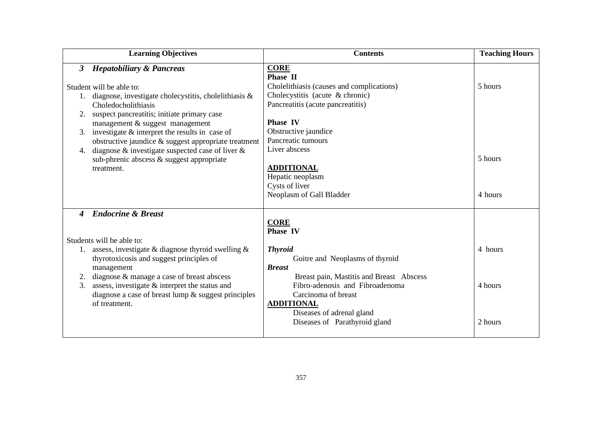|                  | <b>Learning Objectives</b>                                                                                  | <b>Contents</b>                                                             | <b>Teaching Hours</b> |
|------------------|-------------------------------------------------------------------------------------------------------------|-----------------------------------------------------------------------------|-----------------------|
| 3                | <b>Hepatobiliary &amp; Pancreas</b>                                                                         | <b>CORE</b><br>Phase II                                                     |                       |
|                  | Student will be able to:                                                                                    | Cholelithiasis (causes and complications)                                   | 5 hours               |
|                  | 1. diagnose, investigate cholecystitis, cholelithiasis $\&$                                                 | Cholecystitis (acute & chronic)                                             |                       |
|                  | Choledocholithiasis                                                                                         | Pancreatitis (acute pancreatitis)                                           |                       |
|                  | suspect pancreatitis; initiate primary case                                                                 |                                                                             |                       |
|                  | management & suggest management                                                                             | <b>Phase IV</b>                                                             |                       |
|                  | 3. investigate $&$ interpret the results in case of                                                         | Obstructive jaundice                                                        |                       |
|                  | obstructive jaundice & suggest appropriate treatment                                                        | Pancreatic tumours                                                          |                       |
| 4.               | diagnose $\&$ investigate suspected case of liver $\&$                                                      | Liver abscess                                                               |                       |
|                  | sub-phrenic abscess & suggest appropriate                                                                   |                                                                             | 5 hours               |
|                  | treatment.                                                                                                  | <b>ADDITIONAL</b>                                                           |                       |
|                  |                                                                                                             | Hepatic neoplasm                                                            |                       |
|                  |                                                                                                             | Cysts of liver                                                              |                       |
|                  |                                                                                                             | Neoplasm of Gall Bladder                                                    | 4 hours               |
| $\boldsymbol{4}$ | <b>Endocrine &amp; Breast</b>                                                                               |                                                                             |                       |
|                  |                                                                                                             | <b>CORE</b>                                                                 |                       |
|                  |                                                                                                             | <b>Phase IV</b>                                                             |                       |
|                  | Students will be able to:                                                                                   |                                                                             |                       |
|                  | 1. assess, investigate $\&$ diagnose thyroid swelling $\&$                                                  | <b>Thyroid</b>                                                              | 4 hours               |
|                  | thyrotoxicosis and suggest principles of                                                                    | Goitre and Neoplasms of thyroid                                             |                       |
|                  | management                                                                                                  | <b>Breast</b>                                                               |                       |
|                  | 2. diagnose & manage a case of breast abscess                                                               | Breast pain, Mastitis and Breast Abscess<br>Fibro-adenosis and Fibroadenoma |                       |
| 3.               | assess, investigate $\&$ interpret the status and<br>diagnose a case of breast lump $\&$ suggest principles | Carcinoma of breast                                                         | 4 hours               |
|                  | of treatment.                                                                                               | <b>ADDITIONAL</b>                                                           |                       |
|                  |                                                                                                             | Diseases of adrenal gland                                                   |                       |
|                  |                                                                                                             | Diseases of Parathyroid gland                                               | 2 hours               |
|                  |                                                                                                             |                                                                             |                       |
|                  |                                                                                                             |                                                                             |                       |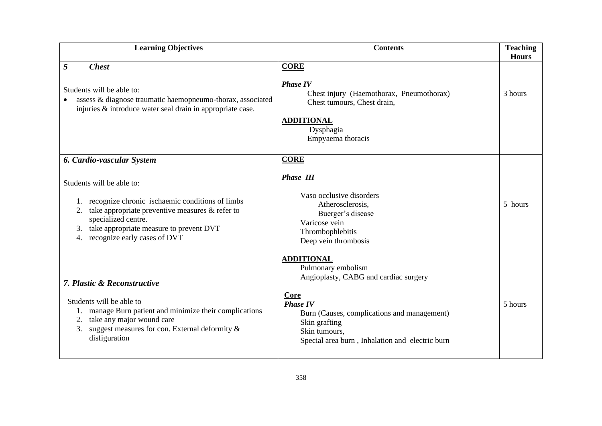| <b>Learning Objectives</b>                                                                                                                                                                                                                                                           | <b>Contents</b>                                                                                                                                                                                                                                 | <b>Teaching</b><br><b>Hours</b> |
|--------------------------------------------------------------------------------------------------------------------------------------------------------------------------------------------------------------------------------------------------------------------------------------|-------------------------------------------------------------------------------------------------------------------------------------------------------------------------------------------------------------------------------------------------|---------------------------------|
| 5<br><b>Chest</b><br>Students will be able to:<br>assess & diagnose traumatic haemopneumo-thorax, associated<br>injuries & introduce water seal drain in appropriate case.                                                                                                           | <b>CORE</b><br><b>Phase IV</b><br>Chest injury (Haemothorax, Pneumothorax)<br>Chest tumours, Chest drain,<br><b>ADDITIONAL</b><br>Dysphagia<br>Empyaema thoracis                                                                                | 3 hours                         |
| <b>6. Cardio-vascular System</b><br>Students will be able to:<br>recognize chronic ischaemic conditions of limbs<br>take appropriate preventive measures & refer to<br>2.<br>specialized centre.<br>take appropriate measure to prevent DVT<br>3.<br>4. recognize early cases of DVT | <b>CORE</b><br><b>Phase III</b><br>Vaso occlusive disorders<br>Atherosclerosis,<br>Buerger's disease<br>Varicose vein<br>Thrombophlebitis<br>Deep vein thrombosis                                                                               | 5 hours                         |
| 7. Plastic & Reconstructive<br>Students will be able to<br>manage Burn patient and minimize their complications<br>1.<br>take any major wound care<br>2.<br>3. suggest measures for con. External deformity $\&$<br>disfiguration                                                    | <b>ADDITIONAL</b><br>Pulmonary embolism<br>Angioplasty, CABG and cardiac surgery<br>Core<br><b>Phase IV</b><br>Burn (Causes, complications and management)<br>Skin grafting<br>Skin tumours,<br>Special area burn, Inhalation and electric burn | 5 hours                         |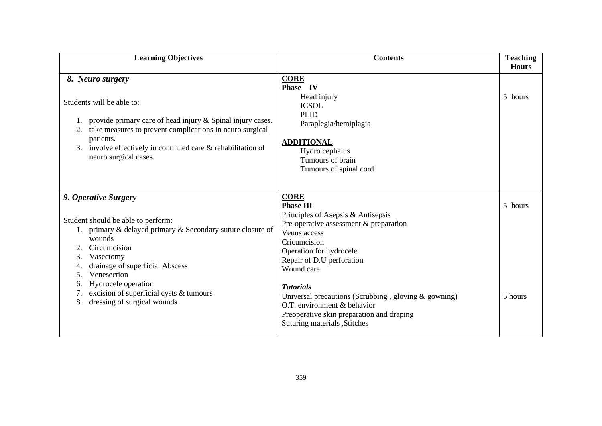| <b>Learning Objectives</b>                                                                                                                                                                                                                                                                                                                                | <b>Contents</b>                                                                                                                                                                                                                                                                                                                                                                                                   | <b>Teaching</b><br><b>Hours</b> |
|-----------------------------------------------------------------------------------------------------------------------------------------------------------------------------------------------------------------------------------------------------------------------------------------------------------------------------------------------------------|-------------------------------------------------------------------------------------------------------------------------------------------------------------------------------------------------------------------------------------------------------------------------------------------------------------------------------------------------------------------------------------------------------------------|---------------------------------|
| 8. Neuro surgery<br>Students will be able to:<br>provide primary care of head injury & Spinal injury cases.<br>take measures to prevent complications in neuro surgical<br>patients.<br>involve effectively in continued care & rehabilitation of<br>3.<br>neuro surgical cases.                                                                          | <b>CORE</b><br>Phase IV<br>Head injury<br><b>ICSOL</b><br><b>PLID</b><br>Paraplegia/hemiplagia<br><b>ADDITIONAL</b><br>Hydro cephalus<br>Tumours of brain<br>Tumours of spinal cord                                                                                                                                                                                                                               | 5 hours                         |
| 9. Operative Surgery<br>Student should be able to perform:<br>primary & delayed primary & Secondary suture closure of<br>wounds<br>Circumcision<br>Vasectomy<br>3.<br>drainage of superficial Abscess<br>4.<br>Venesection<br>5 <sub>1</sub><br>Hydrocele operation<br>6.<br>excision of superficial cysts & tumours<br>dressing of surgical wounds<br>8. | <b>CORE</b><br><b>Phase III</b><br>Principles of Asepsis & Antisepsis<br>Pre-operative assessment & preparation<br>Venus access<br>Cricumcision<br>Operation for hydrocele<br>Repair of D.U perforation<br>Wound care<br><b>Tutorials</b><br>Universal precautions (Scrubbing, gloving $\&$ gowning)<br>O.T. environment & behavior<br>Preoperative skin preparation and draping<br>Suturing materials , Stitches | 5 hours<br>5 hours              |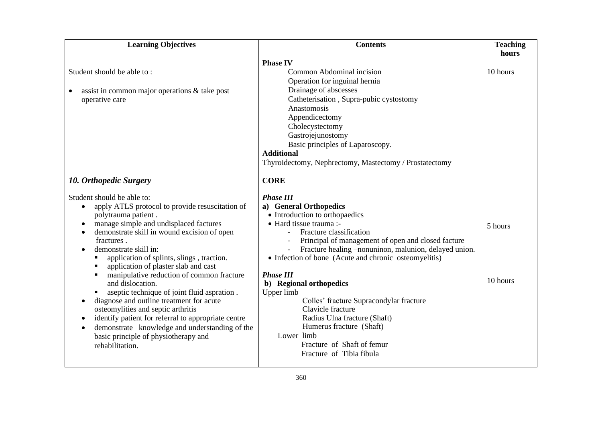| <b>Learning Objectives</b>                                                                                                                                                                                                                                                                                                                                                                                                                                                       | <b>Contents</b>                                                                                                                                                                                                                                                                                                                                                                              | <b>Teaching</b><br>hours |
|----------------------------------------------------------------------------------------------------------------------------------------------------------------------------------------------------------------------------------------------------------------------------------------------------------------------------------------------------------------------------------------------------------------------------------------------------------------------------------|----------------------------------------------------------------------------------------------------------------------------------------------------------------------------------------------------------------------------------------------------------------------------------------------------------------------------------------------------------------------------------------------|--------------------------|
|                                                                                                                                                                                                                                                                                                                                                                                                                                                                                  | <b>Phase IV</b>                                                                                                                                                                                                                                                                                                                                                                              |                          |
| Student should be able to:<br>assist in common major operations & take post<br>operative care                                                                                                                                                                                                                                                                                                                                                                                    | Common Abdominal incision<br>Operation for inguinal hernia<br>Drainage of abscesses<br>Catheterisation, Supra-pubic cystostomy<br>Anastomosis<br>Appendicectomy<br>Cholecystectomy<br>Gastrojejunostomy<br>Basic principles of Laparoscopy.<br><b>Additional</b><br>Thyroidectomy, Nephrectomy, Mastectomy / Prostatectomy                                                                   | 10 hours                 |
| 10. Orthopedic Surgery<br>Student should be able to:<br>apply ATLS protocol to provide resuscitation of<br>$\bullet$<br>polytrauma patient.<br>manage simple and undisplaced factures<br>demonstrate skill in wound excision of open<br>fractures.<br>demonstrate skill in:<br>application of splints, slings, traction.<br>application of plaster slab and cast<br>manipulative reduction of common fracture<br>and dislocation.<br>aseptic technique of joint fluid aspration. | <b>CORE</b><br><b>Phase III</b><br>a) General Orthopedics<br>• Introduction to orthopaedics<br>• Hard tissue trauma :-<br>Fracture classification<br>Principal of management of open and closed facture<br>Fracture healing -nonuninon, malunion, delayed union.<br>÷,<br>• Infection of bone (Acute and chronic osteomyelitis)<br><b>Phase III</b><br>b) Regional orthopedics<br>Upper limb | 5 hours<br>10 hours      |
| diagnose and outline treatment for acute<br>osteomylities and septic arthritis<br>identify patient for referral to appropriate centre<br>demonstrate knowledge and understanding of the<br>$\bullet$<br>basic principle of physiotherapy and<br>rehabilitation.                                                                                                                                                                                                                  | Colles' fracture Supracondylar fracture<br>Clavicle fracture<br>Radius Ulna fracture (Shaft)<br>Humerus fracture (Shaft)<br>Lower limb<br>Fracture of Shaft of femur<br>Fracture of Tibia fibula                                                                                                                                                                                             |                          |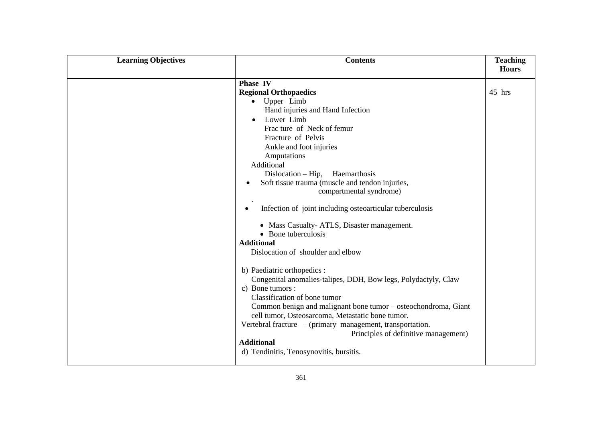| <b>Learning Objectives</b> | <b>Contents</b>                                                   | <b>Teaching</b><br><b>Hours</b> |
|----------------------------|-------------------------------------------------------------------|---------------------------------|
|                            |                                                                   |                                 |
|                            | Phase IV                                                          |                                 |
|                            | <b>Regional Orthopaedics</b>                                      | 45 hrs                          |
|                            | Upper Limb                                                        |                                 |
|                            | Hand injuries and Hand Infection                                  |                                 |
|                            | Lower Limb                                                        |                                 |
|                            | Frac ture of Neck of femur                                        |                                 |
|                            | Fracture of Pelvis                                                |                                 |
|                            | Ankle and foot injuries                                           |                                 |
|                            | Amputations                                                       |                                 |
|                            | Additional                                                        |                                 |
|                            | $Dislocation - Hip$ , Haemarthosis                                |                                 |
|                            | Soft tissue trauma (muscle and tendon injuries,                   |                                 |
|                            | compartmental syndrome)                                           |                                 |
|                            |                                                                   |                                 |
|                            | Infection of joint including osteoarticular tuberculosis          |                                 |
|                            |                                                                   |                                 |
|                            | • Mass Casualty-ATLS, Disaster management.<br>• Bone tuberculosis |                                 |
|                            |                                                                   |                                 |
|                            | <b>Additional</b>                                                 |                                 |
|                            | Dislocation of shoulder and elbow                                 |                                 |
|                            | b) Paediatric orthopedics :                                       |                                 |
|                            | Congenital anomalies-talipes, DDH, Bow legs, Polydactyly, Claw    |                                 |
|                            | c) Bone tumors :                                                  |                                 |
|                            | Classification of bone tumor                                      |                                 |
|                            | Common benign and malignant bone tumor – osteochondroma, Giant    |                                 |
|                            | cell tumor, Osteosarcoma, Metastatic bone tumor.                  |                                 |
|                            | Vertebral fracture - (primary management, transportation.         |                                 |
|                            | Principles of definitive management)                              |                                 |
|                            | <b>Additional</b>                                                 |                                 |
|                            | d) Tendinitis, Tenosynovitis, bursitis.                           |                                 |
|                            |                                                                   |                                 |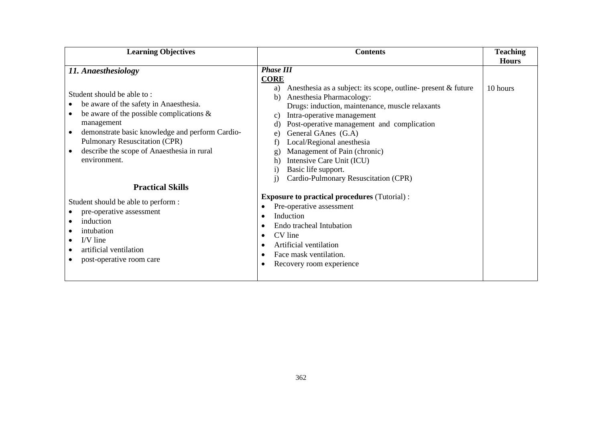| <b>Learning Objectives</b>                                                                                                                                                                                                                                                                  | <b>Contents</b>                                                                                                                                                                                                                                                                                                | <b>Teaching</b><br><b>Hours</b> |
|---------------------------------------------------------------------------------------------------------------------------------------------------------------------------------------------------------------------------------------------------------------------------------------------|----------------------------------------------------------------------------------------------------------------------------------------------------------------------------------------------------------------------------------------------------------------------------------------------------------------|---------------------------------|
| 11. Anaesthesiology<br>Student should be able to:                                                                                                                                                                                                                                           | <b>Phase III</b><br><b>CORE</b><br>Anesthesia as a subject: its scope, outline- present & future<br>a)<br>Anesthesia Pharmacology:<br>b)                                                                                                                                                                       | 10 hours                        |
| be aware of the safety in Anaesthesia.<br>be aware of the possible complications $\&$<br>$\bullet$<br>management<br>demonstrate basic knowledge and perform Cardio-<br>$\bullet$<br><b>Pulmonary Resuscitation (CPR)</b><br>describe the scope of Anaesthesia in rural<br>٠<br>environment. | Drugs: induction, maintenance, muscle relaxants<br>Intra-operative management<br>c)<br>Post-operative management and complication<br>ď<br>General GAnes (G.A)<br>e.<br>Local/Regional anesthesia<br>Management of Pain (chronic)<br>g.<br>Intensive Care Unit (ICU)<br>h)<br>Basic life support.<br>1)         |                                 |
| <b>Practical Skills</b>                                                                                                                                                                                                                                                                     | Cardio-Pulmonary Resuscitation (CPR)<br>$\mathbf{i}$                                                                                                                                                                                                                                                           |                                 |
| Student should be able to perform :<br>pre-operative assessment<br>induction<br>intubation<br>I/V line<br>artificial ventilation<br>post-operative room care                                                                                                                                | <b>Exposure to practical procedures (Tutorial):</b><br>Pre-operative assessment<br>$\bullet$<br>Induction<br>$\bullet$<br>Endo tracheal Intubation<br>$\bullet$<br>CV line<br>$\bullet$<br>Artificial ventilation<br>$\bullet$<br>Face mask ventilation.<br>$\bullet$<br>Recovery room experience<br>$\bullet$ |                                 |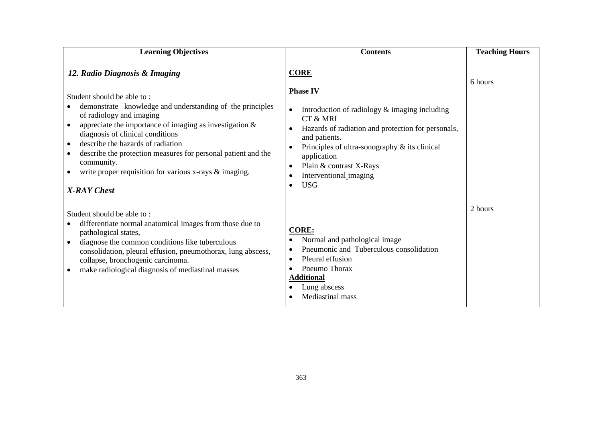| <b>Learning Objectives</b><br><b>Contents</b>                                                                                                                                                                                                                                                                                                                                                                                                                        |                                                                                                                                                                                                                                                                                                                                                 | <b>Teaching Hours</b> |
|----------------------------------------------------------------------------------------------------------------------------------------------------------------------------------------------------------------------------------------------------------------------------------------------------------------------------------------------------------------------------------------------------------------------------------------------------------------------|-------------------------------------------------------------------------------------------------------------------------------------------------------------------------------------------------------------------------------------------------------------------------------------------------------------------------------------------------|-----------------------|
| 12. Radio Diagnosis & Imaging<br>Student should be able to:<br>demonstrate knowledge and understanding of the principles<br>of radiology and imaging<br>appreciate the importance of imaging as investigation $\&$<br>diagnosis of clinical conditions<br>describe the hazards of radiation<br>٠<br>describe the protection measures for personal patient and the<br>٠<br>community.<br>write proper requisition for various x-rays & imaging.<br><b>X-RAY</b> Chest | <b>CORE</b><br><b>Phase IV</b><br>Introduction of radiology & imaging including<br>$\bullet$<br>CT & MRI<br>Hazards of radiation and protection for personals,<br>$\bullet$<br>and patients.<br>Principles of ultra-sonography $\&$ its clinical<br>application<br>Plain & contrast X-Rays<br>Interventional imaging<br><b>USG</b><br>$\bullet$ | 6 hours               |
| Student should be able to:<br>differentiate normal anatomical images from those due to<br>pathological states,<br>diagnose the common conditions like tuberculous<br>consolidation, pleural effusion, pneumothorax, lung abscess,<br>collapse, bronchogenic carcinoma.<br>make radiological diagnosis of mediastinal masses                                                                                                                                          | <b>CORE:</b><br>Normal and pathological image<br>Pneumonic and Tuberculous consolidation<br>Pleural effusion<br>$\bullet$<br>Pneumo Thorax<br><b>Additional</b><br>Lung abscess<br><b>Mediastinal</b> mass                                                                                                                                      | 2 hours               |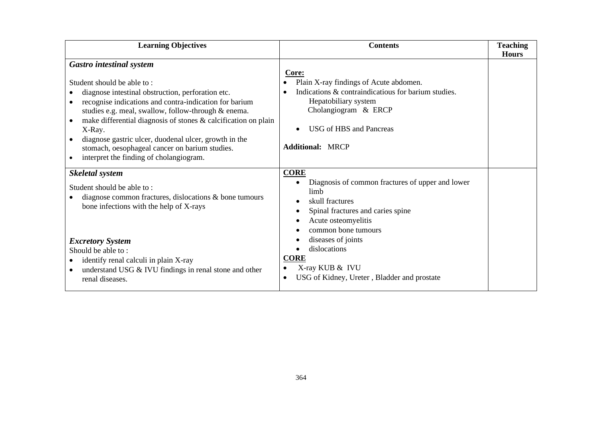| <b>Learning Objectives</b>                                                                                                                                                                                                                                                                                                                                                                                                                                                              | <b>Contents</b>                                                                                                                                                                                              | <b>Teaching</b><br><b>Hours</b> |
|-----------------------------------------------------------------------------------------------------------------------------------------------------------------------------------------------------------------------------------------------------------------------------------------------------------------------------------------------------------------------------------------------------------------------------------------------------------------------------------------|--------------------------------------------------------------------------------------------------------------------------------------------------------------------------------------------------------------|---------------------------------|
| <b>Gastro intestinal system</b><br>Student should be able to:<br>diagnose intestinal obstruction, perforation etc.<br>recognise indications and contra-indication for barium<br>studies e.g. meal, swallow, follow-through & enema.<br>make differential diagnosis of stones & calcification on plain<br>٠<br>X-Ray.<br>diagnose gastric ulcer, duodenal ulcer, growth in the<br>stomach, oesophageal cancer on barium studies.<br>interpret the finding of cholangiogram.<br>$\bullet$ | Core:<br>Plain X-ray findings of Acute abdomen.<br>Indications & contraindicatious for barium studies.<br>Hepatobiliary system<br>Cholangiogram & ERCP<br>USG of HBS and Pancreas<br><b>Additional: MRCP</b> |                                 |
| <b>Skeletal system</b><br>Student should be able to:<br>diagnose common fractures, dislocations $\&$ bone tumours<br>bone infections with the help of X-rays                                                                                                                                                                                                                                                                                                                            | <b>CORE</b><br>Diagnosis of common fractures of upper and lower<br>limb<br>skull fractures<br>Spinal fractures and caries spine<br>Acute osteomyelitis<br>common bone tumours                                |                                 |
| <b>Excretory System</b><br>Should be able to:<br>identify renal calculi in plain X-ray<br>understand USG & IVU findings in renal stone and other<br>renal diseases.                                                                                                                                                                                                                                                                                                                     | diseases of joints<br>dislocations<br><b>CORE</b><br>X-ray KUB & IVU<br>USG of Kidney, Ureter, Bladder and prostate                                                                                          |                                 |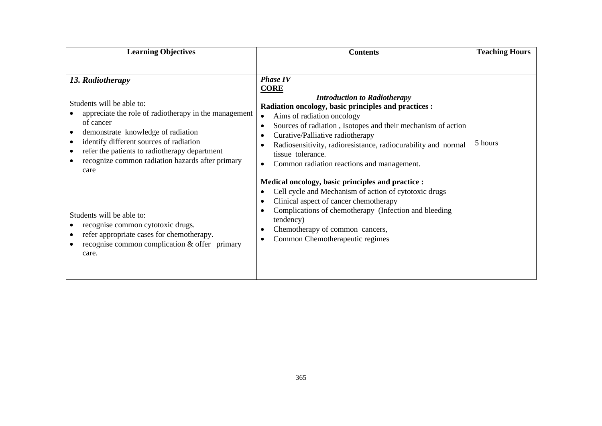| <b>Learning Objectives</b>                                                                                                                                                                                                                  | <b>Contents</b>                                                                                                                                                                                                                                                                                                                                                   | <b>Teaching Hours</b> |
|---------------------------------------------------------------------------------------------------------------------------------------------------------------------------------------------------------------------------------------------|-------------------------------------------------------------------------------------------------------------------------------------------------------------------------------------------------------------------------------------------------------------------------------------------------------------------------------------------------------------------|-----------------------|
| 13. Radiotherapy<br>Students will be able to:<br>appreciate the role of radiotherapy in the management                                                                                                                                      | <b>Phase IV</b><br><b>CORE</b><br><b>Introduction to Radiotherapy</b><br>Radiation oncology, basic principles and practices :<br>Aims of radiation oncology<br>$\bullet$                                                                                                                                                                                          |                       |
| of cancer<br>demonstrate knowledge of radiation<br>$\bullet$<br>identify different sources of radiation<br>٠<br>refer the patients to radiotherapy department<br>٠<br>recognize common radiation hazards after primary<br>$\bullet$<br>care | Sources of radiation, Isotopes and their mechanism of action<br>$\bullet$<br>Curative/Palliative radiotherapy<br>$\bullet$<br>Radiosensitivity, radioresistance, radiocurability and normal<br>$\bullet$<br>tissue tolerance.<br>Common radiation reactions and management.<br>$\bullet$                                                                          | 5 hours               |
| Students will be able to:<br>recognise common cytotoxic drugs.<br>refer appropriate cases for chemotherapy.<br>$\bullet$<br>recognise common complication & offer primary<br>$\bullet$<br>care.                                             | Medical oncology, basic principles and practice :<br>Cell cycle and Mechanism of action of cytotoxic drugs<br>$\bullet$<br>Clinical aspect of cancer chemotherapy<br>$\bullet$<br>Complications of chemotherapy (Infection and bleeding<br>$\bullet$<br>tendency)<br>Chemotherapy of common cancers,<br>$\bullet$<br>Common Chemotherapeutic regimes<br>$\bullet$ |                       |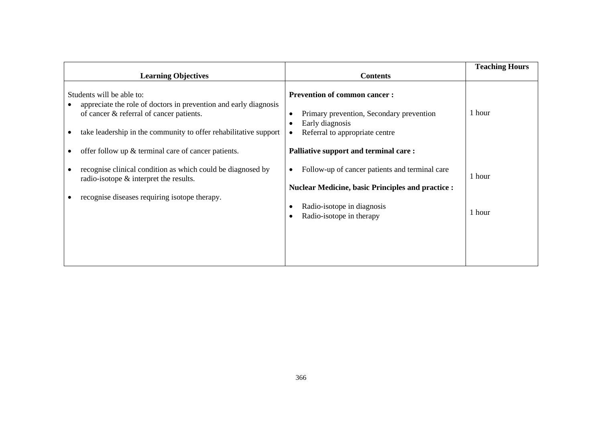| <b>Learning Objectives</b>                                                                                                                                                                                    | <b>Contents</b>                                                                                                                                                      |                  |
|---------------------------------------------------------------------------------------------------------------------------------------------------------------------------------------------------------------|----------------------------------------------------------------------------------------------------------------------------------------------------------------------|------------------|
|                                                                                                                                                                                                               |                                                                                                                                                                      |                  |
| Students will be able to:<br>appreciate the role of doctors in prevention and early diagnosis<br>of cancer & referral of cancer patients.<br>take leadership in the community to offer rehabilitative support | <b>Prevention of common cancer:</b><br>Primary prevention, Secondary prevention<br>Early diagnosis<br>Referral to appropriate centre                                 | 1 hour           |
| offer follow up $\&$ terminal care of cancer patients.                                                                                                                                                        | Palliative support and terminal care:                                                                                                                                |                  |
| recognise clinical condition as which could be diagnosed by<br>radio-isotope $\&$ interpret the results.<br>recognise diseases requiring isotope therapy.                                                     | Follow-up of cancer patients and terminal care<br><b>Nuclear Medicine, basic Principles and practice :</b><br>Radio-isotope in diagnosis<br>Radio-isotope in therapy | 1 hour<br>1 hour |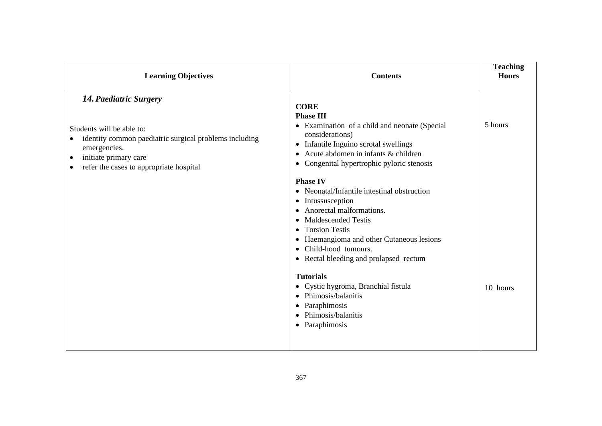| <b>Learning Objectives</b><br><b>Contents</b>                                                                                                                                                                  |                                                                                                                                                                                                                                                                                                                    | <b>Teaching</b><br><b>Hours</b> |
|----------------------------------------------------------------------------------------------------------------------------------------------------------------------------------------------------------------|--------------------------------------------------------------------------------------------------------------------------------------------------------------------------------------------------------------------------------------------------------------------------------------------------------------------|---------------------------------|
| 14. Paediatric Surgery<br>Students will be able to:<br>identity common paediatric surgical problems including<br>emergencies.<br>initiate primary care<br>$\bullet$<br>refer the cases to appropriate hospital | <b>CORE</b><br><b>Phase III</b><br>• Examination of a child and neonate (Special<br>considerations)<br>Infantile Inguino scrotal swellings<br>٠<br>Acute abdomen in infants & children<br>$\bullet$<br>• Congenital hypertrophic pyloric stenosis                                                                  | 5 hours                         |
|                                                                                                                                                                                                                | <b>Phase IV</b><br>Neonatal/Infantile intestinal obstruction<br>Intussusception<br>$\bullet$<br>Anorectal malformations.<br><b>Maldescended Testis</b><br>$\bullet$<br><b>Torsion Testis</b><br>٠<br>Haemangioma and other Cutaneous lesions<br>٠<br>Child-hood tumours.<br>• Rectal bleeding and prolapsed rectum |                                 |
|                                                                                                                                                                                                                | <b>Tutorials</b><br>• Cystic hygroma, Branchial fistula<br>Phimosis/balanitis<br>Paraphimosis<br>Phimosis/balanitis<br>$\bullet$<br>Paraphimosis<br>$\bullet$                                                                                                                                                      | 10 hours                        |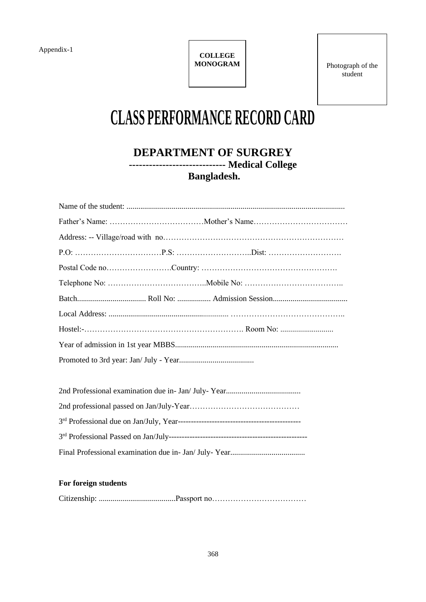Appendix-1

**COLLEGE MONOGRAM**

Photograph of the student

# **CLASS PERFORMANCE RECORD CARD**

### **DEPARTMENT OF SURGREY ----------------------------- Medical College Bangladesh.**

#### **For foreign students**

Citizenship: .......................................Passport no………………………………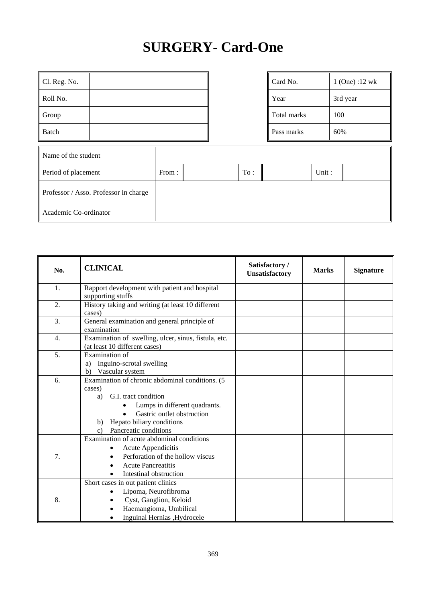## **SURGERY- Card-One**

| Cl. Reg. No. |  | Card No.    | $1$ (One) :12 wk |
|--------------|--|-------------|------------------|
| Roll No.     |  | Year        | 3rd year         |
| Group        |  | Total marks | 100              |
| Batch        |  | Pass marks  | 60%              |

| Card No.    | $1$ (One) :12 wk |
|-------------|------------------|
| Year        | 3rd year         |
| Total marks | 100              |
| Pass marks  | 60%              |

| Name of the student                   |       |     |       |  |
|---------------------------------------|-------|-----|-------|--|
| Period of placement                   | From: | To: | Unit: |  |
| Professor / Asso. Professor in charge |       |     |       |  |
| Academic Co-ordinator                 |       |     |       |  |

| No. | <b>CLINICAL</b>                                                                                                                                                                                                                                 | Satisfactory /<br>Unsatisfactory | <b>Marks</b> | <b>Signature</b> |
|-----|-------------------------------------------------------------------------------------------------------------------------------------------------------------------------------------------------------------------------------------------------|----------------------------------|--------------|------------------|
| 1.  | Rapport development with patient and hospital<br>supporting stuffs                                                                                                                                                                              |                                  |              |                  |
| 2.  | History taking and writing (at least 10 different<br>cases)                                                                                                                                                                                     |                                  |              |                  |
| 3.  | General examination and general principle of<br>examination                                                                                                                                                                                     |                                  |              |                  |
| 4.  | Examination of swelling, ulcer, sinus, fistula, etc.<br>(at least 10 different cases)                                                                                                                                                           |                                  |              |                  |
| 5.  | Examination of<br>Inguino-scrotal swelling<br>a)<br>Vascular system<br>b)                                                                                                                                                                       |                                  |              |                  |
| 6.  | Examination of chronic abdominal conditions. (5<br>cases)<br>G.I. tract condition<br>a)<br>Lumps in different quadrants.<br>Gastric outlet obstruction<br>$\bullet$<br>Hepato biliary conditions<br>b)<br>Pancreatic conditions<br>$\mathbf{c}$ |                                  |              |                  |
| 7.  | Examination of acute abdominal conditions<br>Acute Appendicitis<br>$\bullet$<br>Perforation of the hollow viscus<br>$\bullet$<br><b>Acute Pancreatitis</b><br>Intestinal obstruction                                                            |                                  |              |                  |
| 8.  | Short cases in out patient clinics<br>Lipoma, Neurofibroma<br>Cyst, Ganglion, Keloid<br>Haemangioma, Umbilical<br>Inguinal Hernias , Hydrocele                                                                                                  |                                  |              |                  |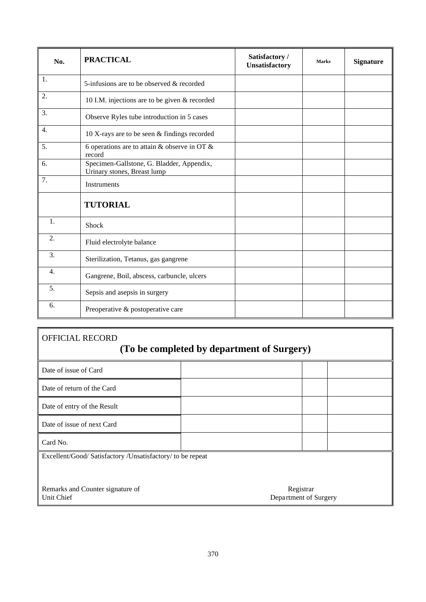| No. | <b>PRACTICAL</b>                                                         | Satisfactory /<br>Unsatisfactory | <b>Marks</b> | <b>Signature</b> |
|-----|--------------------------------------------------------------------------|----------------------------------|--------------|------------------|
| 1.  | 5-infusions are to be observed & recorded                                |                                  |              |                  |
| 2.  | 10 I.M. injections are to be given & recorded                            |                                  |              |                  |
| 3.  | Observe Ryles tube introduction in 5 cases                               |                                  |              |                  |
| 4.  | 10 X-rays are to be seen & findings recorded                             |                                  |              |                  |
| 5.  | 6 operations are to attain & observe in OT &<br>record                   |                                  |              |                  |
| 6.  | Specimen-Gallstone, G. Bladder, Appendix,<br>Urinary stones, Breast lump |                                  |              |                  |
| 7.  | Instruments                                                              |                                  |              |                  |
|     | <b>TUTORIAL</b>                                                          |                                  |              |                  |
| 1.  | Shock                                                                    |                                  |              |                  |
| 2.  | Fluid electrolyte balance                                                |                                  |              |                  |
| 3.  | Sterilization, Tetanus, gas gangrene                                     |                                  |              |                  |
| 4.  | Gangrene, Boil, abscess, carbuncle, ulcers                               |                                  |              |                  |
| 5.  | Sepsis and asepsis in surgery                                            |                                  |              |                  |
| 6.  | Preoperative & postoperative care                                        |                                  |              |                  |

## OFFICIAL RECORD **(To be completed by department of Surgery)**

| Date of issue of Card                                      |                                    |  |
|------------------------------------------------------------|------------------------------------|--|
| Date of return of the Card                                 |                                    |  |
| Date of entry of the Result                                |                                    |  |
| Date of issue of next Card                                 |                                    |  |
| Card No.                                                   |                                    |  |
| Excellent/Good/ Satisfactory /Unsatisfactory/ to be repeat |                                    |  |
|                                                            |                                    |  |
|                                                            |                                    |  |
| Remarks and Counter signature of<br>Unit Chief             | Registrar<br>Department of Surgery |  |

∥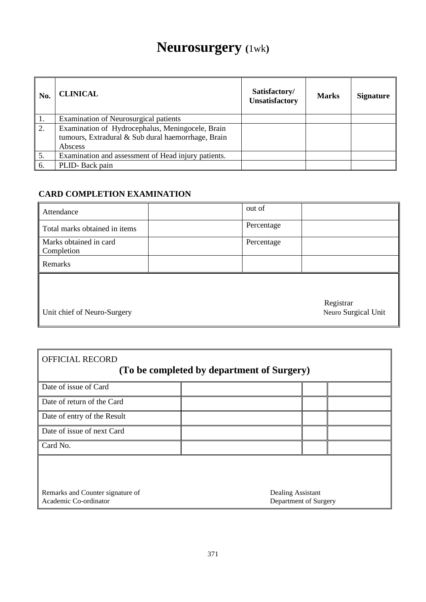## **Neurosurgery (**1wk**)**

| No. | <b>CLINICAL</b>                                                                                                   | Satisfactory/<br><b>Unsatisfactory</b> | <b>Marks</b> | <b>Signature</b> |
|-----|-------------------------------------------------------------------------------------------------------------------|----------------------------------------|--------------|------------------|
| 1.  | Examination of Neurosurgical patients                                                                             |                                        |              |                  |
| 2.  | Examination of Hydrocephalus, Meningocele, Brain<br>tumours, Extradural & Sub dural haemorrhage, Brain<br>Abscess |                                        |              |                  |
| 5.  | Examination and assessment of Head injury patients.                                                               |                                        |              |                  |
| 6.  | PLID-Back pain                                                                                                    |                                        |              |                  |

#### **CARD COMPLETION EXAMINATION**

| Attendance                           | out of                           |
|--------------------------------------|----------------------------------|
| Total marks obtained in items        | Percentage                       |
| Marks obtained in card<br>Completion | Percentage                       |
| Remarks                              |                                  |
|                                      |                                  |
| I Unit chief of Neuro-Surgery        | Registrar<br>Neuro Surgical Unit |

| Registrar           |  |  |
|---------------------|--|--|
| Neuro Surgical Unit |  |  |

Unit chief of Neuro-Surgery

| <b>OFFICIAL RECORD</b><br>(To be completed by department of Surgery) |                                            |  |  |
|----------------------------------------------------------------------|--------------------------------------------|--|--|
| Date of issue of Card                                                |                                            |  |  |
| Date of return of the Card                                           |                                            |  |  |
| Date of entry of the Result                                          |                                            |  |  |
| Date of issue of next Card                                           |                                            |  |  |
| Card No.                                                             |                                            |  |  |
|                                                                      |                                            |  |  |
| Remarks and Counter signature of<br>Academic Co-ordinator            | Dealing Assistant<br>Department of Surgery |  |  |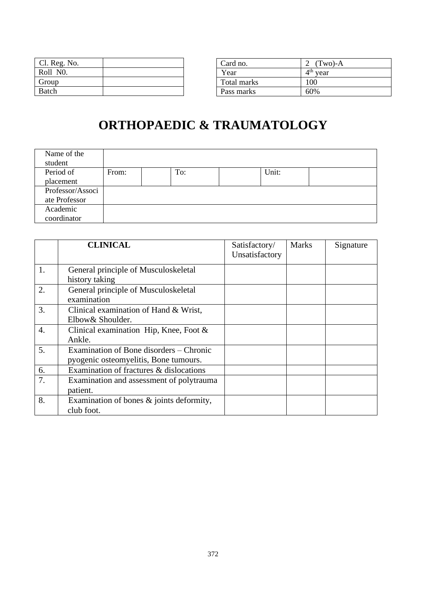| Cl. Reg. No. |  |
|--------------|--|
| Roll NO.     |  |
| Group        |  |
| <b>Batch</b> |  |

| Card no.    | 2 $(Two)-A$          |
|-------------|----------------------|
| Year        | 4 <sup>th</sup> year |
| Total marks | 100                  |
| Pass marks  | 60%                  |

## **ORTHOPAEDIC & TRAUMATOLOGY**

| Name of the      |       |     |       |  |
|------------------|-------|-----|-------|--|
| student          |       |     |       |  |
| Period of        | From: | To: | Unit: |  |
| placement        |       |     |       |  |
| Professor/Associ |       |     |       |  |
| ate Professor    |       |     |       |  |
| Academic         |       |     |       |  |
| coordinator      |       |     |       |  |

|                  | <b>CLINICAL</b>                             | Satisfactory/<br>Unsatisfactory | <b>Marks</b> | Signature |
|------------------|---------------------------------------------|---------------------------------|--------------|-----------|
| 1.               | General principle of Musculoskeletal        |                                 |              |           |
|                  | history taking                              |                                 |              |           |
| 2.               | General principle of Musculoskeletal        |                                 |              |           |
|                  | examination                                 |                                 |              |           |
| 3.               | Clinical examination of Hand & Wrist,       |                                 |              |           |
|                  | Elbow& Shoulder.                            |                                 |              |           |
| $\overline{4}$ . | Clinical examination Hip, Knee, Foot &      |                                 |              |           |
|                  | Ankle.                                      |                                 |              |           |
| 5.               | Examination of Bone disorders – Chronic     |                                 |              |           |
|                  | pyogenic osteomyelitis, Bone tumours.       |                                 |              |           |
| 6.               | Examination of fractures & dislocations     |                                 |              |           |
| 7.               | Examination and assessment of polytrauma    |                                 |              |           |
|                  | patient.                                    |                                 |              |           |
| 8.               | Examination of bones $\&$ joints deformity, |                                 |              |           |
|                  | club foot.                                  |                                 |              |           |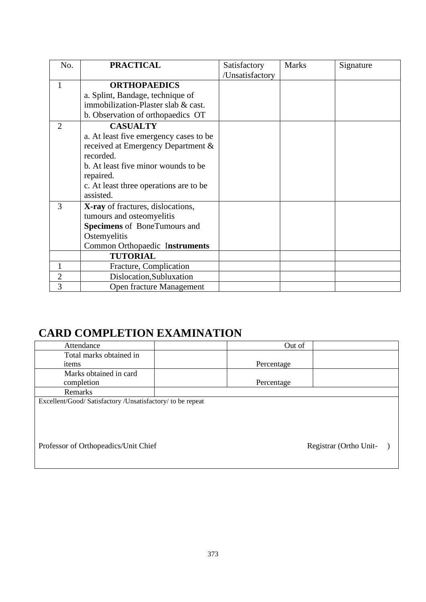| No.            | <b>PRACTICAL</b>                       | Satisfactory    | <b>Marks</b> | Signature |
|----------------|----------------------------------------|-----------------|--------------|-----------|
|                |                                        | /Unsatisfactory |              |           |
| $\mathbf{1}$   | <b>ORTHOPAEDICS</b>                    |                 |              |           |
|                | a. Splint, Bandage, technique of       |                 |              |           |
|                | immobilization-Plaster slab & cast.    |                 |              |           |
|                | b. Observation of orthopaedics OT      |                 |              |           |
| $\overline{2}$ | <b>CASUALTY</b>                        |                 |              |           |
|                | a. At least five emergency cases to be |                 |              |           |
|                | received at Emergency Department &     |                 |              |           |
|                | recorded.                              |                 |              |           |
|                | b. At least five minor wounds to be    |                 |              |           |
|                | repaired.                              |                 |              |           |
|                | c. At least three operations are to be |                 |              |           |
|                | assisted.                              |                 |              |           |
| $\overline{3}$ | X-ray of fractures, dislocations,      |                 |              |           |
|                | tumours and osteomyelitis              |                 |              |           |
|                | <b>Specimens</b> of BoneTumours and    |                 |              |           |
|                | Ostemyelitis                           |                 |              |           |
|                | Common Orthopaedic Instruments         |                 |              |           |
|                | <b>TUTORIAL</b>                        |                 |              |           |
| 1              | Fracture, Complication                 |                 |              |           |
| $\overline{2}$ | Dislocation, Subluxation               |                 |              |           |
| 3              | Open fracture Management               |                 |              |           |

## **CARD COMPLETION EXAMINATION**

| Attendance                                                  | Out of     |                        |
|-------------------------------------------------------------|------------|------------------------|
| Total marks obtained in                                     |            |                        |
| items                                                       | Percentage |                        |
| Marks obtained in card                                      |            |                        |
| completion                                                  | Percentage |                        |
| <b>Remarks</b>                                              |            |                        |
| Excellent/Good/ Satisfactory / Unsatisfactory/ to be repeat |            |                        |
|                                                             |            |                        |
|                                                             |            |                        |
|                                                             |            |                        |
|                                                             |            |                        |
| Professor of Orthopeadics/Unit Chief                        |            | Registrar (Ortho Unit- |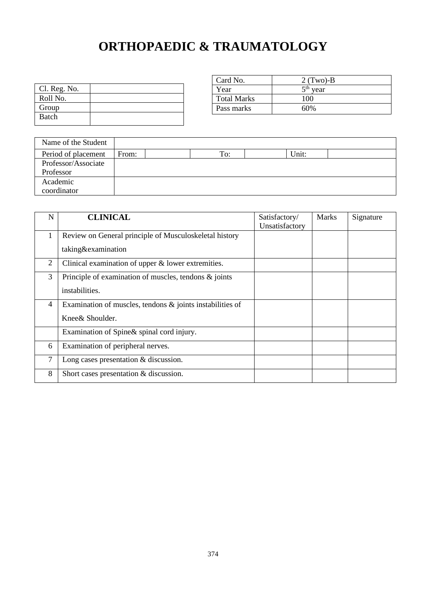## **ORTHOPAEDIC & TRAUMATOLOGY**

| Cl. Reg. No. |  |
|--------------|--|
| Roll No.     |  |
| Group        |  |
| Batch        |  |

| Card No.           | $2$ (Two)-B             |
|--------------------|-------------------------|
| Year               | $5^{\text{th}}$<br>year |
| <b>Total Marks</b> | 100                     |
| Pass marks         | 60%                     |

| Name of the Student |       |     |       |  |
|---------------------|-------|-----|-------|--|
| Period of placement | From: | To: | Unit: |  |
| Professor/Associate |       |     |       |  |
| Professor           |       |     |       |  |
| Academic            |       |     |       |  |
| coordinator         |       |     |       |  |

| N | <b>CLINICAL</b>                                              | Satisfactory/<br>Unsatisfactory | <b>Marks</b> | Signature |
|---|--------------------------------------------------------------|---------------------------------|--------------|-----------|
|   | Review on General principle of Musculoskeletal history       |                                 |              |           |
|   | taking&examination                                           |                                 |              |           |
| 2 | Clinical examination of upper $&$ lower extremities.         |                                 |              |           |
| 3 | Principle of examination of muscles, tendons $\&$ joints     |                                 |              |           |
|   | instabilities.                                               |                                 |              |           |
| 4 | Examination of muscles, tendons $\&$ joints instabilities of |                                 |              |           |
|   | Knee& Shoulder.                                              |                                 |              |           |
|   | Examination of Spine& spinal cord injury.                    |                                 |              |           |
| 6 | Examination of peripheral nerves.                            |                                 |              |           |
| 7 | Long cases presentation $\&$ discussion.                     |                                 |              |           |
| 8 | Short cases presentation & discussion.                       |                                 |              |           |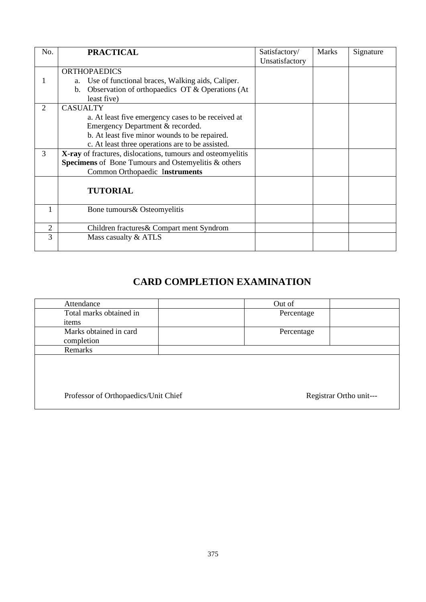| No. | <b>PRACTICAL</b>                                            | Satisfactory/  | <b>Marks</b> | Signature |
|-----|-------------------------------------------------------------|----------------|--------------|-----------|
|     |                                                             | Unsatisfactory |              |           |
|     | <b>ORTHOPAEDICS</b>                                         |                |              |           |
|     | Use of functional braces, Walking aids, Caliper.<br>a.      |                |              |           |
|     | Observation of orthopaedics OT & Operations (At<br>b.       |                |              |           |
|     | least five)                                                 |                |              |           |
| 2   | <b>CASUALTY</b>                                             |                |              |           |
|     | a. At least five emergency cases to be received at          |                |              |           |
|     | Emergency Department & recorded.                            |                |              |           |
|     | b. At least five minor wounds to be repaired.               |                |              |           |
|     | c. At least three operations are to be assisted.            |                |              |           |
| 3   | X-ray of fractures, dislocations, tumours and osteomyelitis |                |              |           |
|     | <b>Specimens</b> of Bone Tumours and Ostemyelitis & others  |                |              |           |
|     | Common Orthopaedic Instruments                              |                |              |           |
|     |                                                             |                |              |           |
|     | <b>TUTORIAL</b>                                             |                |              |           |
|     |                                                             |                |              |           |
|     | Bone tumours & Osteomyelitis                                |                |              |           |
|     |                                                             |                |              |           |
| 2   | Children fractures & Compart ment Syndrom                   |                |              |           |
| 3   | Mass casualty & ATLS                                        |                |              |           |
|     |                                                             |                |              |           |

## **CARD COMPLETION EXAMINATION**

| Attendance                           |  | Out of     |                         |
|--------------------------------------|--|------------|-------------------------|
| Total marks obtained in              |  | Percentage |                         |
| items                                |  |            |                         |
| Marks obtained in card               |  | Percentage |                         |
| completion                           |  |            |                         |
| Remarks                              |  |            |                         |
|                                      |  |            |                         |
|                                      |  |            |                         |
|                                      |  |            |                         |
|                                      |  |            |                         |
| Professor of Orthopaedics/Unit Chief |  |            | Registrar Ortho unit--- |
|                                      |  |            |                         |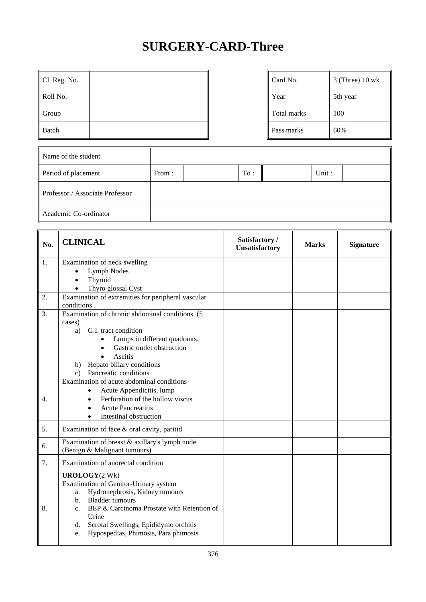## **SURGERY-CARD-Three**

| $\parallel$ Cl. Reg. No. | Card No.    | $3$ (Three) 10 wk |
|--------------------------|-------------|-------------------|
| Roll No.                 | Year        | 5th year          |
| Group                    | Total marks | 100               |
| Batch                    | Pass marks  | 60%               |

| Card No.           | $3$ (Three) $10$ wk |
|--------------------|---------------------|
| Year               | 5th year            |
| <b>Total marks</b> | 100                 |
| Pass marks         | 60%                 |

| Name of the student             |       |     |       |  |
|---------------------------------|-------|-----|-------|--|
| Period of placement             | From: | To: | Unit: |  |
| Professor / Associate Professor |       |     |       |  |
| Academic Co-ordinator           |       |     |       |  |

| No.      | <b>CLINICAL</b>                                                                                                                                                                                                                                                                                                                                                                                                                               | Satisfactory /<br>Unsatisfactory | <b>Marks</b> | <b>Signature</b> |
|----------|-----------------------------------------------------------------------------------------------------------------------------------------------------------------------------------------------------------------------------------------------------------------------------------------------------------------------------------------------------------------------------------------------------------------------------------------------|----------------------------------|--------------|------------------|
| 1.       | Examination of neck swelling<br>Lymph Nodes<br>$\bullet$<br>Thyroid<br>$\bullet$<br>Thyro glossal Cyst<br>$\bullet$                                                                                                                                                                                                                                                                                                                           |                                  |              |                  |
| 2.       | Examination of extremities for peripheral vascular<br>conditions                                                                                                                                                                                                                                                                                                                                                                              |                                  |              |                  |
| 3.<br>4. | Examination of chronic abdominal conditions. (5<br>cases)<br>G.I. tract condition<br>a)<br>Lumps in different quadrants.<br>$\bullet$<br>Gastric outlet obstruction<br>Ascitis<br>Hepato biliary conditions<br>b)<br>Pancreatic conditions<br>$\mathbf{c}$ )<br>Examination of acute abdominal conditions<br>Acute Appendicitis, lump<br>$\bullet$<br>Perforation of the hollow viscus<br><b>Acute Pancreatitis</b><br>Intestinal obstruction |                                  |              |                  |
| 5.       | Examination of face & oral cavity, paritid                                                                                                                                                                                                                                                                                                                                                                                                    |                                  |              |                  |
| 6.       | Examination of breast & axillary's lymph node<br>(Benign & Malignant tumours)                                                                                                                                                                                                                                                                                                                                                                 |                                  |              |                  |
| 7.       | Examination of anorectal condition                                                                                                                                                                                                                                                                                                                                                                                                            |                                  |              |                  |
| 8.       | <b>UROLOGY</b> (2 Wk)<br>Examination of Genitor-Urinary system<br>Hydronephrosis, Kidney tumours<br>a.<br><b>Bladder</b> tumours<br>$\mathbf{b}$ .<br>BEP & Carcinoma Prostate with Retention of<br>C <sub>1</sub><br>Urine<br>Scrotal Swellings, Epididymo orchitis<br>d.<br>Hypospedias, Phimosis, Para phimosis<br>e.                                                                                                                      |                                  |              |                  |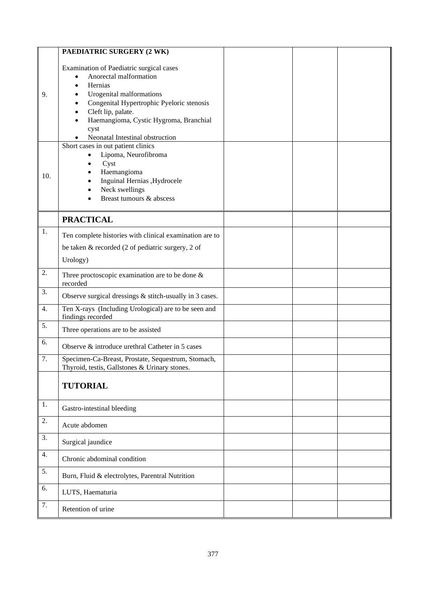|                  | PAEDIATRIC SURGERY (2 WK)                                                                                                                                                                                                                                                                                                       |  |  |
|------------------|---------------------------------------------------------------------------------------------------------------------------------------------------------------------------------------------------------------------------------------------------------------------------------------------------------------------------------|--|--|
| 9.               | Examination of Paediatric surgical cases<br>Anorectal malformation<br>Hernias<br>Urogenital malformations<br>Congenital Hypertrophic Pyeloric stenosis<br>Cleft lip, palate.<br>Haemangioma, Cystic Hygroma, Branchial<br>cyst<br>Neonatal Intestinal obstruction<br>Short cases in out patient clinics<br>Lipoma, Neurofibroma |  |  |
| 10.              | Cyst<br>Haemangioma<br>Inguinal Hernias , Hydrocele<br>Neck swellings<br>Breast tumours & abscess                                                                                                                                                                                                                               |  |  |
|                  | <b>PRACTICAL</b>                                                                                                                                                                                                                                                                                                                |  |  |
| 1.               | Ten complete histories with clinical examination are to<br>be taken & recorded (2 of pediatric surgery, 2 of<br>Urology)                                                                                                                                                                                                        |  |  |
| 2.               | Three proctoscopic examination are to be done $\&$<br>recorded                                                                                                                                                                                                                                                                  |  |  |
| 3.               | Observe surgical dressings $&$ stitch-usually in 3 cases.                                                                                                                                                                                                                                                                       |  |  |
| 4.               | Ten X-rays (Including Urological) are to be seen and<br>findings recorded                                                                                                                                                                                                                                                       |  |  |
| 5.               | Three operations are to be assisted                                                                                                                                                                                                                                                                                             |  |  |
| 6.               | Observe & introduce urethral Catheter in 5 cases                                                                                                                                                                                                                                                                                |  |  |
| 7.               | Specimen-Ca-Breast, Prostate, Sequestrum, Stomach,<br>Thyroid, testis, Gallstones & Urinary stones.                                                                                                                                                                                                                             |  |  |
|                  | <b>TUTORIAL</b>                                                                                                                                                                                                                                                                                                                 |  |  |
| 1.               | Gastro-intestinal bleeding                                                                                                                                                                                                                                                                                                      |  |  |
| 2.               | Acute abdomen                                                                                                                                                                                                                                                                                                                   |  |  |
| 3.               | Surgical jaundice                                                                                                                                                                                                                                                                                                               |  |  |
| 4.               | Chronic abdominal condition                                                                                                                                                                                                                                                                                                     |  |  |
| $\overline{5}$ . | Burn, Fluid & electrolytes, Parentral Nutrition                                                                                                                                                                                                                                                                                 |  |  |
| 6.               | LUTS, Haematuria                                                                                                                                                                                                                                                                                                                |  |  |
| 7.               | Retention of urine                                                                                                                                                                                                                                                                                                              |  |  |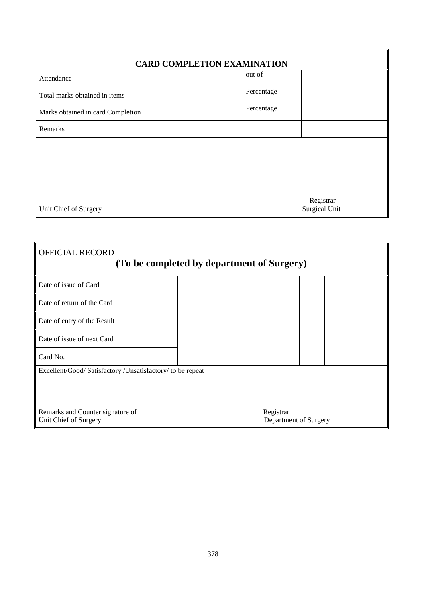| <b>CARD COMPLETION EXAMINATION</b>            |            |           |  |  |  |
|-----------------------------------------------|------------|-----------|--|--|--|
| Attendance                                    | out of     |           |  |  |  |
| Total marks obtained in items                 | Percentage |           |  |  |  |
| Marks obtained in card Completion             | Percentage |           |  |  |  |
| Remarks                                       |            |           |  |  |  |
|                                               |            |           |  |  |  |
|                                               |            |           |  |  |  |
|                                               |            |           |  |  |  |
|                                               |            | Registrar |  |  |  |
| <b>Surgical Unit</b><br>Unit Chief of Surgery |            |           |  |  |  |

| <b>OFFICIAL RECORD</b><br>(To be completed by department of Surgery) |                                    |  |  |  |
|----------------------------------------------------------------------|------------------------------------|--|--|--|
| Date of issue of Card                                                |                                    |  |  |  |
| Date of return of the Card                                           |                                    |  |  |  |
| Date of entry of the Result                                          |                                    |  |  |  |
| Date of issue of next Card                                           |                                    |  |  |  |
| Card No.                                                             |                                    |  |  |  |
| Excellent/Good/ Satisfactory /Unsatisfactory/ to be repeat           |                                    |  |  |  |
| Remarks and Counter signature of<br>Unit Chief of Surgery            | Registrar<br>Department of Surgery |  |  |  |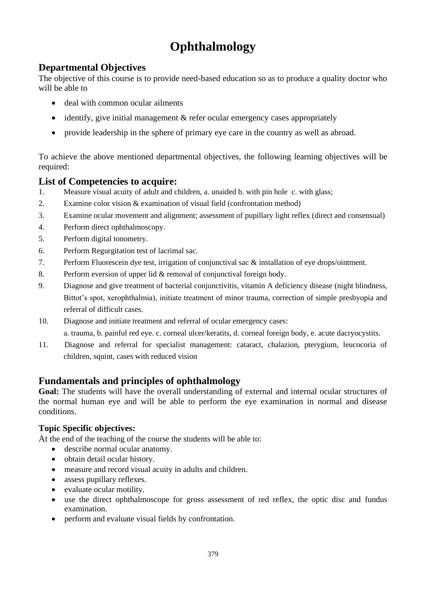## **Ophthalmology**

### **Departmental Objectives**

The objective of this course is to provide need-based education so as to produce a quality doctor who will be able to

- deal with common ocular ailments
- identify, give initial management & refer ocular emergency cases appropriately
- provide leadership in the sphere of primary eye care in the country as well as abroad.

To achieve the above mentioned departmental objectives, the following learning objectives will be required:

#### **List of Competencies to acquire:**

- 1. Measure visual acuity of adult and children, a. unaided b. with pin hole c. with glass;
- 2. Examine color vision & examination of visual field (confrontation method)
- 3. Examine ocular movement and alignment; assessment of pupillary light reflex (direct and consensual)
- 4. Perform direct ophthalmoscopy.
- 5. Perform digital tonometry.
- 6. Perform Regurgitation test of lacrimal sac.
- 7. Perform Fluorescein dye test, irrigation of conjunctival sac & installation of eye drops/ointment.
- 8. Perform eversion of upper lid & removal of conjunctival foreign body.
- 9. Diagnose and give treatment of bacterial conjunctivitis, vitamin A deficiency disease (night blindness, Bittot's spot, xerophthalmia), initiate treatment of minor trauma, correction of simple presbyopia and referral of difficult cases.
- 10. Diagnose and initiate treatment and referral of ocular emergency cases: a. trauma, b. painful red eye. c. corneal ulcer/keratits, d. corneal foreign body, e. acute dacryocystits.
- 11. Diagnose and referral for specialist management: cataract, chalazion, pterygium, leucocoria of children, squint, cases with reduced vision

#### **Fundamentals and principles of ophthalmology**

**Goal:** The students will have the overall understanding of external and internal ocular structures of the normal human eye and will be able to perform the eye examination in normal and disease conditions.

#### **Topic Specific objectives:**

At the end of the teaching of the course the students will be able to:

- describe normal ocular anatomy.
- obtain detail ocular history.
- measure and record visual acuity in adults and children.
- assess pupillary reflexes.
- evaluate ocular motility.
- use the direct ophthalmoscope for gross assessment of red reflex, the optic disc and fundus examination.
- perform and evaluate visual fields by confrontation.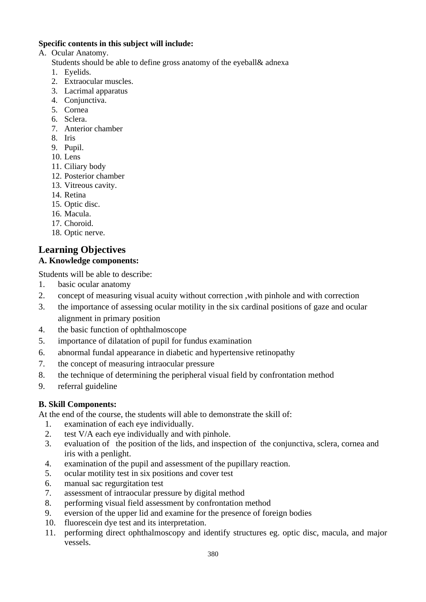#### **Specific contents in this subject will include:**

- A. Ocular Anatomy.
	- Students should be able to define gross anatomy of the eyeball& adnexa
	- 1. Eyelids.
	- 2. Extraocular muscles.
	- 3. Lacrimal apparatus
	- 4. Conjunctiva.
	- 5. Cornea
	- 6. Sclera.
	- 7. Anterior chamber
	- 8. Iris
	- 9. Pupil.
	- 10. Lens
	- 11. Ciliary body
	- 12. Posterior chamber
	- 13. Vitreous cavity.
	- 14. Retina
	- 15. Optic disc.
	- 16. Macula.
	- 17. Choroid.
	- 18. Optic nerve.

## **Learning Objectives**

#### **A. Knowledge components:**

Students will be able to describe:

- 1. basic ocular anatomy
- 2. concept of measuring visual acuity without correction ,with pinhole and with correction
- 3. the importance of assessing ocular motility in the six cardinal positions of gaze and ocular alignment in primary position
- 4. the basic function of ophthalmoscope
- 5. importance of dilatation of pupil for fundus examination
- 6. abnormal fundal appearance in diabetic and hypertensive retinopathy
- 7. the concept of measuring intraocular pressure
- 8. the technique of determining the peripheral visual field by confrontation method
- 9. referral guideline

#### **B. Skill Components:**

At the end of the course, the students will able to demonstrate the skill of:

- 1. examination of each eye individually.
- 2. test V/A each eye individually and with pinhole.
- 3. evaluation of the position of the lids, and inspection of the conjunctiva, sclera, cornea and iris with a penlight.
- 4. examination of the pupil and assessment of the pupillary reaction.
- 5. ocular motility test in six positions and cover test
- 6. manual sac regurgitation test
- 7. assessment of intraocular pressure by digital method
- 8. performing visual field assessment by confrontation method
- 9. eversion of the upper lid and examine for the presence of foreign bodies
- 10. fluorescein dye test and its interpretation.
- 11. performing direct ophthalmoscopy and identify structures eg. optic disc, macula, and major vessels.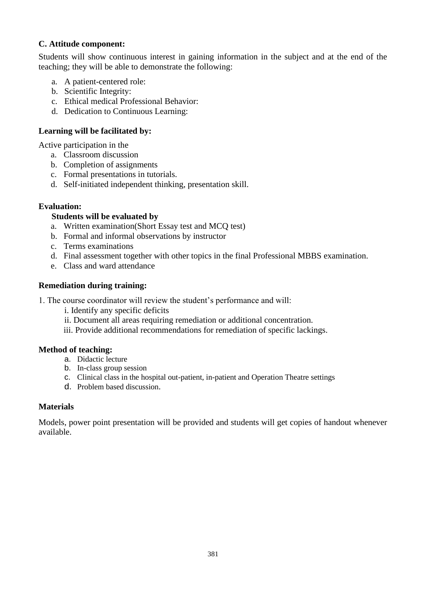#### **C. Attitude component:**

Students will show continuous interest in gaining information in the subject and at the end of the teaching; they will be able to demonstrate the following:

- a. A patient-centered role:
- b. Scientific Integrity:
- c. Ethical medical Professional Behavior:
- d. Dedication to Continuous Learning:

#### **Learning will be facilitated by:**

Active participation in the

- a. Classroom discussion
- b. Completion of assignments
- c. Formal presentations in tutorials.
- d. Self-initiated independent thinking, presentation skill.

#### **Evaluation:**

#### **Students will be evaluated by**

- a. Written examination(Short Essay test and MCQ test)
- b. Formal and informal observations by instructor
- c. Terms examinations
- d. Final assessment together with other topics in the final Professional MBBS examination.
- e. Class and ward attendance

#### **Remediation during training:**

- 1. The course coordinator will review the student's performance and will:
	- i. Identify any specific deficits
	- ii. Document all areas requiring remediation or additional concentration.
	- iii. Provide additional recommendations for remediation of specific lackings.

#### **Method of teaching:**

- a. Didactic lecture
- b. In-class group session
- c. Clinical class in the hospital out-patient, in-patient and Operation Theatre settings
- d. Problem based discussion.

#### **Materials**

Models, power point presentation will be provided and students will get copies of handout whenever available.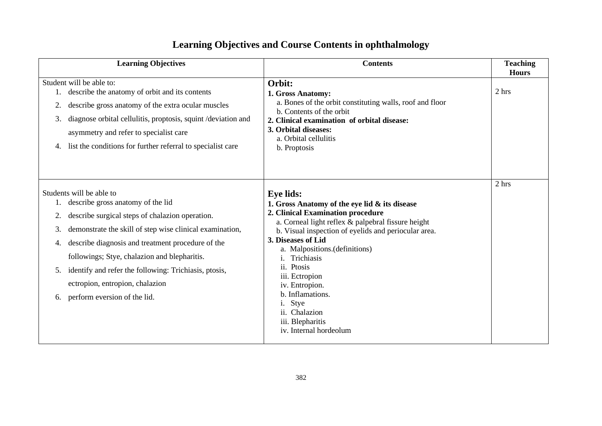## **Learning Objectives and Course Contents in ophthalmology**

| <b>Learning Objectives</b>                                                                                                                                                                                                                                                                                                                                                                                                            | <b>Contents</b>                                                                                                                                                                                                                                                                                                                                                                                                                        | <b>Teaching</b><br><b>Hours</b> |
|---------------------------------------------------------------------------------------------------------------------------------------------------------------------------------------------------------------------------------------------------------------------------------------------------------------------------------------------------------------------------------------------------------------------------------------|----------------------------------------------------------------------------------------------------------------------------------------------------------------------------------------------------------------------------------------------------------------------------------------------------------------------------------------------------------------------------------------------------------------------------------------|---------------------------------|
| Student will be able to:<br>describe the anatomy of orbit and its contents<br>describe gross anatomy of the extra ocular muscles<br>2.<br>diagnose orbital cellulitis, proptosis, squint /deviation and<br>3.<br>asymmetry and refer to specialist care<br>list the conditions for further referral to specialist care                                                                                                                | Orbit:<br>1. Gross Anatomy:<br>a. Bones of the orbit constituting walls, roof and floor<br>b. Contents of the orbit<br>2. Clinical examination of orbital disease:<br>3. Orbital diseases:<br>a. Orbital cellulitis<br>b. Proptosis                                                                                                                                                                                                    | 2 hrs                           |
| Students will be able to<br>describe gross anatomy of the lid<br>describe surgical steps of chalazion operation.<br>demonstrate the skill of step wise clinical examination,<br>3.<br>describe diagnosis and treatment procedure of the<br>4.<br>followings; Stye, chalazion and blepharitis.<br>identify and refer the following: Trichiasis, ptosis,<br>5.<br>ectropion, entropion, chalazion<br>perform eversion of the lid.<br>6. | <b>Eye lids:</b><br>1. Gross Anatomy of the eye lid & its disease<br>2. Clinical Examination procedure<br>a. Corneal light reflex & palpebral fissure height<br>b. Visual inspection of eyelids and periocular area.<br>3. Diseases of Lid<br>a. Malpositions.(definitions)<br>Trichiasis<br>ii. Ptosis<br>iii. Ectropion<br>iv. Entropion.<br>b. Inflamations.<br>Stye<br>ii. Chalazion<br>iii. Blepharitis<br>iv. Internal hordeolum | 2 hrs                           |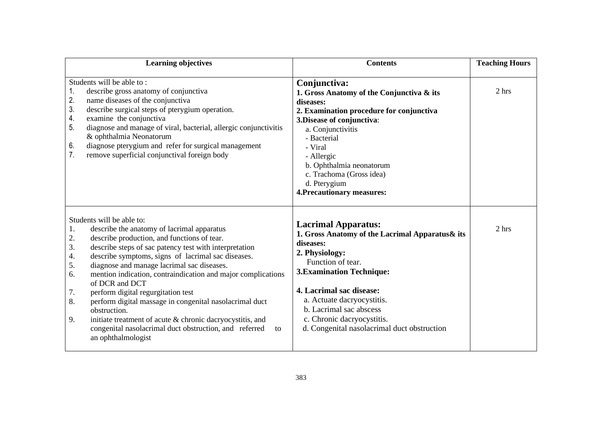| <b>Learning objectives</b>                                                                                                                                                                                                                                                                                                                                                                                                                                                                                                                                                                                                                                                                       | <b>Contents</b>                                                                                                                                                                                                                                                                                                                          | <b>Teaching Hours</b> |
|--------------------------------------------------------------------------------------------------------------------------------------------------------------------------------------------------------------------------------------------------------------------------------------------------------------------------------------------------------------------------------------------------------------------------------------------------------------------------------------------------------------------------------------------------------------------------------------------------------------------------------------------------------------------------------------------------|------------------------------------------------------------------------------------------------------------------------------------------------------------------------------------------------------------------------------------------------------------------------------------------------------------------------------------------|-----------------------|
| Students will be able to:<br>describe gross anatomy of conjunctiva<br>1.<br>2.<br>name diseases of the conjunctiva<br>3.<br>describe surgical steps of pterygium operation.<br>4.<br>examine the conjunctiva<br>5.<br>diagnose and manage of viral, bacterial, allergic conjunctivitis<br>& ophthalmia Neonatorum<br>6.<br>diagnose pterygium and refer for surgical management<br>7.<br>remove superficial conjunctival foreign body                                                                                                                                                                                                                                                            | Conjunctiva:<br>1. Gross Anatomy of the Conjunctiva & its<br>diseases:<br>2. Examination procedure for conjunctiva<br>3. Disease of conjunctiva:<br>a. Conjunctivitis<br>- Bacterial<br>- Viral<br>- Allergic<br>b. Ophthalmia neonatorum<br>c. Trachoma (Gross idea)<br>d. Pterygium<br><b>4. Precautionary measures:</b>               | 2 hrs                 |
| Students will be able to:<br>1.<br>describe the anatomy of lacrimal apparatus<br>describe production, and functions of tear.<br>2.<br>3.<br>describe steps of sac patency test with interpretation<br>describe symptoms, signs of lacrimal sac diseases.<br>4.<br>diagnose and manage lacrimal sac diseases.<br>5.<br>mention indication, contraindication and major complications<br>6.<br>of DCR and DCT<br>perform digital regurgitation test<br>7.<br>8.<br>perform digital massage in congenital nasolacrimal duct<br>obstruction.<br>initiate treatment of acute & chronic dacryocystitis, and<br>9.<br>congenital nasolacrimal duct obstruction, and referred<br>to<br>an ophthalmologist | <b>Lacrimal Apparatus:</b><br>1. Gross Anatomy of the Lacrimal Apparatus & its<br>diseases:<br>2. Physiology:<br>Function of tear.<br><b>3. Examination Technique:</b><br>4. Lacrimal sac disease:<br>a. Actuate dacryocystitis.<br>b. Lacrimal sac abscess<br>c. Chronic dacryocystitis.<br>d. Congenital nasolacrimal duct obstruction | 2 hrs                 |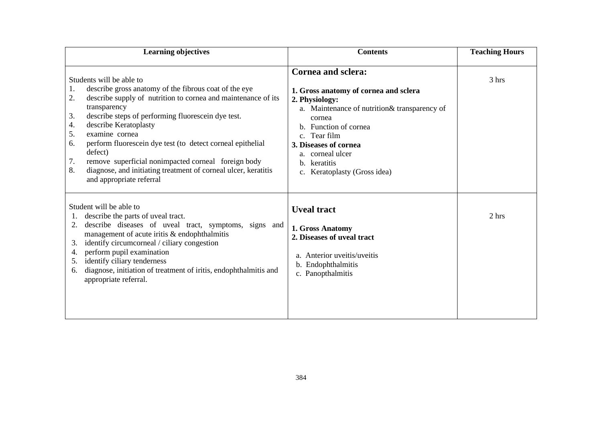| <b>Learning objectives</b>                                                                                                                                                                                                                                                                                                                                                                                                                                                                                                                        | <b>Contents</b>                                                                                                                                                                                                                                                                          | <b>Teaching Hours</b> |
|---------------------------------------------------------------------------------------------------------------------------------------------------------------------------------------------------------------------------------------------------------------------------------------------------------------------------------------------------------------------------------------------------------------------------------------------------------------------------------------------------------------------------------------------------|------------------------------------------------------------------------------------------------------------------------------------------------------------------------------------------------------------------------------------------------------------------------------------------|-----------------------|
| Students will be able to<br>describe gross anatomy of the fibrous coat of the eye<br>1.<br>2.<br>describe supply of nutrition to cornea and maintenance of its<br>transparency<br>describe steps of performing fluorescein dye test.<br>3.<br>describe Keratoplasty<br>4.<br>examine cornea<br>5.<br>perform fluorescein dye test (to detect corneal epithelial<br>6.<br>defect)<br>remove superficial nonimpacted corneal foreign body<br>7.<br>diagnose, and initiating treatment of corneal ulcer, keratitis<br>8.<br>and appropriate referral | <b>Cornea and sclera:</b><br>1. Gross anatomy of cornea and sclera<br>2. Physiology:<br>a. Maintenance of nutrition & transparency of<br>cornea<br>b. Function of cornea<br>c. Tear film<br>3. Diseases of cornea<br>a. corneal ulcer<br>keratitis<br>h.<br>c. Keratoplasty (Gross idea) | 3 hrs                 |
| Student will be able to<br>describe the parts of uveal tract.<br>describe diseases of uveal tract, symptoms, signs and<br>management of acute iritis & endophthalmitis<br>identify circumcorneal / ciliary congestion<br>3.<br>perform pupil examination<br>4.<br>identify ciliary tenderness<br>5.<br>diagnose, initiation of treatment of iritis, endophthalmitis and<br>6.<br>appropriate referral.                                                                                                                                            | <b>Uveal tract</b><br>1. Gross Anatomy<br>2. Diseases of uveal tract<br>a. Anterior uveitis/uveitis<br>b. Endophthalmitis<br>c. Panopthalmitis                                                                                                                                           | 2 hrs                 |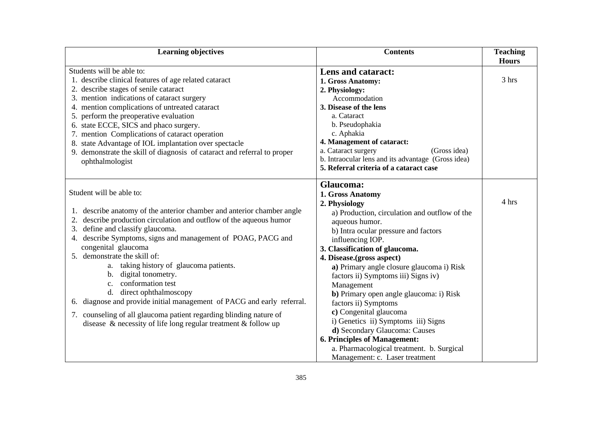| <b>Learning objectives</b>                                                                                                                                                                                                                                                                                                                                                                                                                                                                                                                                                                                                                                                     | <b>Contents</b>                                                                                                                                                                                                                                                                                                                                                                                                                                                                                                                                                                                                                            | <b>Teaching</b><br><b>Hours</b> |
|--------------------------------------------------------------------------------------------------------------------------------------------------------------------------------------------------------------------------------------------------------------------------------------------------------------------------------------------------------------------------------------------------------------------------------------------------------------------------------------------------------------------------------------------------------------------------------------------------------------------------------------------------------------------------------|--------------------------------------------------------------------------------------------------------------------------------------------------------------------------------------------------------------------------------------------------------------------------------------------------------------------------------------------------------------------------------------------------------------------------------------------------------------------------------------------------------------------------------------------------------------------------------------------------------------------------------------------|---------------------------------|
| Students will be able to:<br>1. describe clinical features of age related cataract<br>2. describe stages of senile cataract<br>3. mention indications of cataract surgery<br>4. mention complications of untreated cataract<br>5. perform the preoperative evaluation<br>6. state ECCE, SICS and phaco surgery.<br>7. mention Complications of cataract operation<br>8. state Advantage of IOL implantation over spectacle<br>9. demonstrate the skill of diagnosis of cataract and referral to proper<br>ophthalmologist                                                                                                                                                      | Lens and cataract:<br>1. Gross Anatomy:<br>2. Physiology:<br>Accommodation<br>3. Disease of the lens<br>a. Cataract<br>b. Pseudophakia<br>c. Aphakia<br>4. Management of cataract:<br>a. Cataract surgery<br>(Gross idea)<br>b. Intraocular lens and its advantage (Gross idea)<br>5. Referral criteria of a cataract case                                                                                                                                                                                                                                                                                                                 | 3 hrs                           |
| Student will be able to:<br>1. describe anatomy of the anterior chamber and anterior chamber angle<br>describe production circulation and outflow of the aqueous humor<br>define and classify glaucoma.<br>4. describe Symptoms, signs and management of POAG, PACG and<br>congenital glaucoma<br>5. demonstrate the skill of:<br>a. taking history of glaucoma patients.<br>b. digital tonometry.<br>c. conformation test<br>d. direct ophthalmoscopy<br>6. diagnose and provide initial management of PACG and early referral.<br>7. counseling of all glaucoma patient regarding blinding nature of<br>disease $\&$ necessity of life long regular treatment $\&$ follow up | Glaucoma:<br>1. Gross Anatomy<br>2. Physiology<br>a) Production, circulation and outflow of the<br>aqueous humor.<br>b) Intra ocular pressure and factors<br>influencing IOP.<br>3. Classification of glaucoma.<br>4. Disease.(gross aspect)<br>a) Primary angle closure glaucoma i) Risk<br>factors ii) Symptoms iii) Signs iv)<br>Management<br><b>b</b> ) Primary open angle glaucoma: i) Risk<br>factors ii) Symptoms<br>c) Congenital glaucoma<br>i) Genetics ii) Symptoms iii) Signs<br>d) Secondary Glaucoma: Causes<br>6. Principles of Management:<br>a. Pharmacological treatment. b. Surgical<br>Management: c. Laser treatment | 4 hrs                           |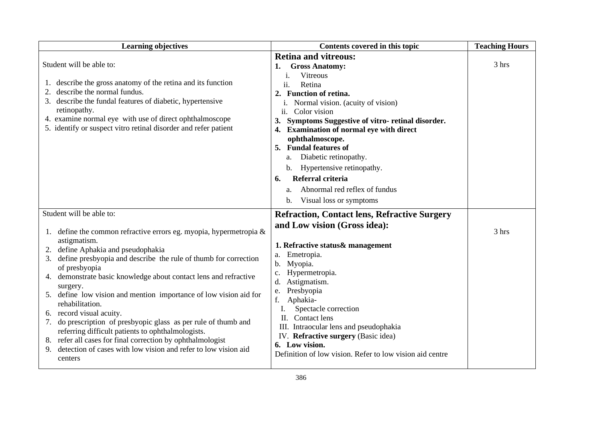| <b>Learning objectives</b>                                                                                                                                                                                                                                                                                                                                                                                                                                                                                                                                                                                                                                                                                               | Contents covered in this topic                                                                                                                                                                                                                                                                                                                                                                                                                                                                                           | <b>Teaching Hours</b> |
|--------------------------------------------------------------------------------------------------------------------------------------------------------------------------------------------------------------------------------------------------------------------------------------------------------------------------------------------------------------------------------------------------------------------------------------------------------------------------------------------------------------------------------------------------------------------------------------------------------------------------------------------------------------------------------------------------------------------------|--------------------------------------------------------------------------------------------------------------------------------------------------------------------------------------------------------------------------------------------------------------------------------------------------------------------------------------------------------------------------------------------------------------------------------------------------------------------------------------------------------------------------|-----------------------|
| Student will be able to:<br>1. describe the gross anatomy of the retina and its function<br>describe the normal fundus.<br>3. describe the fundal features of diabetic, hypertensive<br>retinopathy.<br>4. examine normal eye with use of direct ophthalmoscope<br>5. identify or suspect vitro retinal disorder and refer patient                                                                                                                                                                                                                                                                                                                                                                                       | <b>Retina and vitreous:</b><br><b>Gross Anatomy:</b><br>1.<br><b>Vitreous</b><br>i.<br>ii.<br>Retina<br>2. Function of retina.<br>Normal vision. (acuity of vision)<br>ii.<br>Color vision<br>Symptoms Suggestive of vitro-retinal disorder.<br>3.<br>4. Examination of normal eye with direct<br>ophthalmoscope.<br>5. Fundal features of<br>Diabetic retinopathy.<br>a.<br>b. Hypertensive retinopathy.<br>Referral criteria<br>6.<br>Abnormal red reflex of fundus<br>a.<br>Visual loss or symptoms<br>$\mathbf{b}$ . | 3 hrs                 |
| Student will be able to:<br>1. define the common refractive errors eg. myopia, hypermetropia $\&$<br>astigmatism.<br>define Aphakia and pseudophakia<br>3. define presbyopia and describe the rule of thumb for correction<br>of presbyopia<br>4. demonstrate basic knowledge about contact lens and refractive<br>surgery.<br>5. define low vision and mention importance of low vision aid for<br>rehabilitation.<br>record visual acuity.<br>6.<br>7. do prescription of presbyopic glass as per rule of thumb and<br>referring difficult patients to ophthalmologists.<br>refer all cases for final correction by ophthalmologist<br>detection of cases with low vision and refer to low vision aid<br>9.<br>centers | <b>Refraction, Contact lens, Refractive Surgery</b><br>and Low vision (Gross idea):<br>1. Refractive status& management<br>a. Emetropia.<br>Myopia.<br>b.<br>Hypermetropia.<br>c.<br>Astigmatism.<br>d.<br>Presbyopia<br>e.<br>Aphakia-<br>f.<br>Spectacle correction<br>I.<br>$\Pi$ .<br>Contact lens<br>III. Intraocular lens and pseudophakia<br>IV. Refractive surgery (Basic idea)<br>6. Low vision.<br>Definition of low vision. Refer to low vision aid centre                                                    | 3 hrs                 |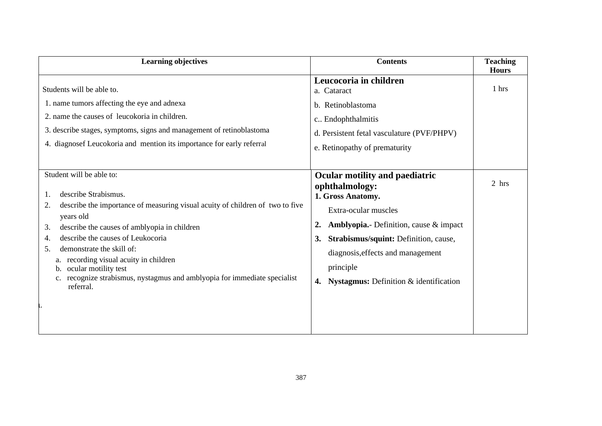| <b>Learning objectives</b>                                                                                                                                                                                                                                                                                                                                                                                                                       | <b>Contents</b>                                                                                                                                                                                                                                                                                          | <b>Teaching</b><br><b>Hours</b> |  |
|--------------------------------------------------------------------------------------------------------------------------------------------------------------------------------------------------------------------------------------------------------------------------------------------------------------------------------------------------------------------------------------------------------------------------------------------------|----------------------------------------------------------------------------------------------------------------------------------------------------------------------------------------------------------------------------------------------------------------------------------------------------------|---------------------------------|--|
| Students will be able to.<br>1. name tumors affecting the eye and adnexa<br>2. name the causes of leucokoria in children.<br>3. describe stages, symptoms, signs and management of retinoblastoma<br>4. diagnosef Leucokoria and mention its importance for early referral                                                                                                                                                                       | Leucocoria in children<br>a. Cataract<br>b. Retinoblastoma<br>c Endophthalmitis<br>d. Persistent fetal vasculature (PVF/PHPV)<br>e. Retinopathy of prematurity                                                                                                                                           | 1 hrs                           |  |
| Student will be able to:<br>describe Strabismus.<br>describe the importance of measuring visual acuity of children of two to five<br>2.<br>years old<br>describe the causes of amblyopia in children<br>3.<br>describe the causes of Leukocoria<br>4<br>demonstrate the skill of:<br>5.<br>a. recording visual acuity in children<br>ocular motility test<br>recognize strabismus, nystagmus and amblyopia for immediate specialist<br>referral. | Ocular motility and paediatric<br>ophthalmology:<br>1. Gross Anatomy.<br>Extra-ocular muscles<br>Amblyopia.- Definition, cause & impact<br>2.<br>Strabismus/squint: Definition, cause,<br>3.<br>diagnosis, effects and management<br>principle<br><b>Nystagmus:</b> Definition $\&$ identification<br>4. | 2 hrs                           |  |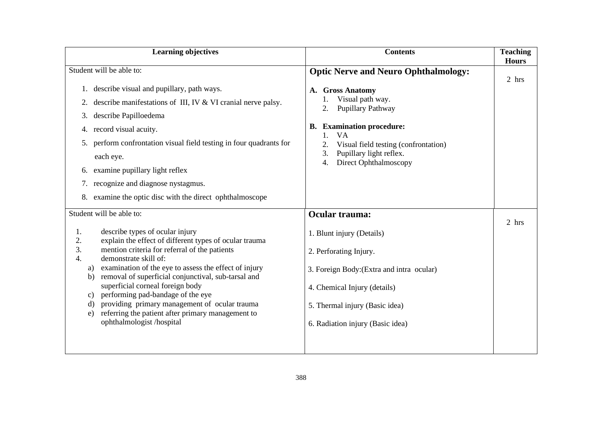| <b>Learning objectives</b>                                                                                                                                                                                                                                                                                                                                                                                                                                                                                                                                                     | <b>Contents</b>                                                                                                                                                                                                                      | <b>Teaching</b><br><b>Hours</b> |
|--------------------------------------------------------------------------------------------------------------------------------------------------------------------------------------------------------------------------------------------------------------------------------------------------------------------------------------------------------------------------------------------------------------------------------------------------------------------------------------------------------------------------------------------------------------------------------|--------------------------------------------------------------------------------------------------------------------------------------------------------------------------------------------------------------------------------------|---------------------------------|
| Student will be able to:                                                                                                                                                                                                                                                                                                                                                                                                                                                                                                                                                       | <b>Optic Nerve and Neuro Ophthalmology:</b>                                                                                                                                                                                          | 2 hrs                           |
| describe visual and pupillary, path ways.<br>describe manifestations of III, IV & VI cranial nerve palsy.<br>2.<br>describe Papilloedema<br>3.<br>4. record visual acuity.<br>perform confrontation visual field testing in four quadrants for<br>5.<br>each eye.<br>examine pupillary light reflex<br>6.<br>recognize and diagnose nystagmus.<br>7.<br>examine the optic disc with the direct ophthalmoscope                                                                                                                                                                  | A. Gross Anatomy<br>Visual path way.<br>Pupillary Pathway<br>2.<br><b>B.</b> Examination procedure:<br>1.<br><b>VA</b><br>2.<br>Visual field testing (confrontation)<br>Pupillary light reflex.<br>3.<br>Direct Ophthalmoscopy<br>4. |                                 |
| Student will be able to:<br>describe types of ocular injury<br>1.<br>explain the effect of different types of ocular trauma<br>2.<br>3.<br>mention criteria for referral of the patients<br>demonstrate skill of:<br>4.<br>examination of the eye to assess the effect of injury<br>a)<br>removal of superficial conjunctival, sub-tarsal and<br>b)<br>superficial corneal foreign body<br>c) performing pad-bandage of the eye<br>providing primary management of ocular trauma<br>d)<br>referring the patient after primary management to<br>e)<br>ophthalmologist /hospital | Ocular trauma:<br>1. Blunt injury (Details)<br>2. Perforating Injury.<br>3. Foreign Body: (Extra and intra ocular)<br>4. Chemical Injury (details)<br>5. Thermal injury (Basic idea)<br>6. Radiation injury (Basic idea)             | 2 hrs                           |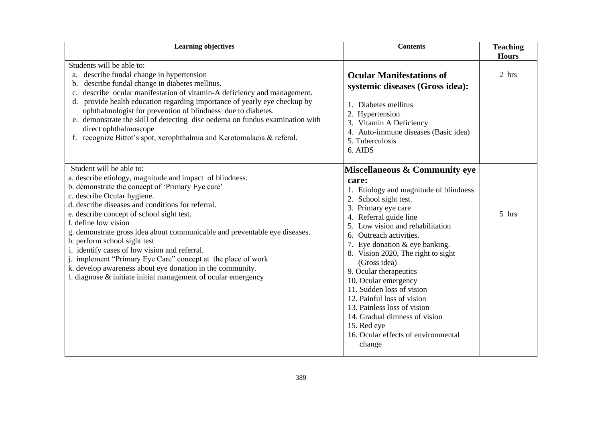| <b>Learning objectives</b><br><b>Contents</b>                                                                                                                                                                                                                                                                                                                                                                                                                                                                                                                                                                                                                  |                                                                                                                                                                                                                                                                                                                                                                                                                                                                                                                                                            | <b>Teaching</b><br><b>Hours</b> |
|----------------------------------------------------------------------------------------------------------------------------------------------------------------------------------------------------------------------------------------------------------------------------------------------------------------------------------------------------------------------------------------------------------------------------------------------------------------------------------------------------------------------------------------------------------------------------------------------------------------------------------------------------------------|------------------------------------------------------------------------------------------------------------------------------------------------------------------------------------------------------------------------------------------------------------------------------------------------------------------------------------------------------------------------------------------------------------------------------------------------------------------------------------------------------------------------------------------------------------|---------------------------------|
| Students will be able to:<br>describe fundal change in hypertension<br>a.<br>describe fundal change in diabetes mellitus.<br>b.<br>describe ocular manifestation of vitamin-A deficiency and management.<br>$\mathbf{c}$ .<br>d. provide health education regarding importance of yearly eye checkup by<br>ophthalmologist for prevention of blindness due to diabetes.<br>e. demonstrate the skill of detecting disc oedema on fundus examination with<br>direct ophthalmoscope<br>f. recognize Bittot's spot, xerophthalmia and Kerotomalacia & referal.                                                                                                     | <b>Ocular Manifestations of</b><br>systemic diseases (Gross idea):<br>1. Diabetes mellitus<br>2. Hypertension<br>3. Vitamin A Deficiency<br>4. Auto-immune diseases (Basic idea)<br>5. Tuberculosis<br>6. AIDS                                                                                                                                                                                                                                                                                                                                             | 2 hrs                           |
| Student will be able to:<br>a. describe etiology, magnitude and impact of blindness.<br>b. demonstrate the concept of 'Primary Eye care'<br>c. describe Ocular hygiene.<br>d. describe diseases and conditions for referral.<br>e. describe concept of school sight test.<br>f. define low vision<br>g. demonstrate gross idea about communicable and preventable eye diseases.<br>h. perform school sight test<br>i. identify cases of low vision and referral.<br>j. implement "Primary Eye Care" concept at the place of work<br>k. develop awareness about eye donation in the community.<br>1. diagnose & initiate initial management of ocular emergency | Miscellaneous & Community eye<br>care:<br>1. Etiology and magnitude of blindness<br>2. School sight test.<br>3. Primary eye care<br>Referral guide line<br>Low vision and rehabilitation<br>6. Outreach activities.<br>7. Eye donation $&$ eye banking.<br>8. Vision 2020, The right to sight<br>(Gross idea)<br>9. Ocular therapeutics<br>10. Ocular emergency<br>11. Sudden loss of vision<br>12. Painful loss of vision<br>13. Painless loss of vision<br>14. Gradual dimness of vision<br>15. Red eye<br>16. Ocular effects of environmental<br>change | 5 hrs                           |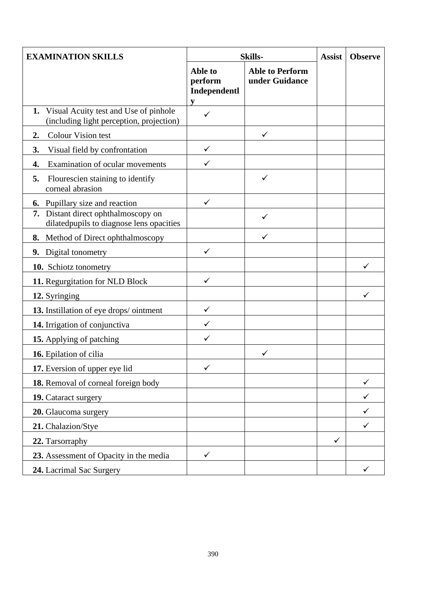| <b>EXAMINATION SKILLS</b>                                                               | <b>Skills-</b>                          |                                          | <b>Assist</b> | <b>Observe</b> |
|-----------------------------------------------------------------------------------------|-----------------------------------------|------------------------------------------|---------------|----------------|
|                                                                                         | Able to<br>perform<br>Independentl<br>y | <b>Able to Perform</b><br>under Guidance |               |                |
| Visual Acuity test and Use of pinhole<br>1.<br>(including light perception, projection) |                                         |                                          |               |                |
| Colour Vision test<br>2.                                                                |                                         | $\checkmark$                             |               |                |
| Visual field by confrontation<br>3.                                                     | $\checkmark$                            |                                          |               |                |
| Examination of ocular movements<br>4.                                                   | ✓                                       |                                          |               |                |
| 5.<br>Flourescien staining to identify<br>corneal abrasion                              |                                         | $\checkmark$                             |               |                |
| Pupillary size and reaction<br>6.                                                       | $\checkmark$                            |                                          |               |                |
| Distant direct ophthalmoscopy on<br>7.<br>dilatedpupils to diagnose lens opacities      |                                         | ✓                                        |               |                |
| Method of Direct ophthalmoscopy<br>8.                                                   |                                         | $\checkmark$                             |               |                |
| 9. Digital tonometry                                                                    | $\checkmark$                            |                                          |               |                |
| 10. Schiotz tonometry                                                                   |                                         |                                          |               | ✓              |
| 11. Regurgitation for NLD Block                                                         | $\checkmark$                            |                                          |               |                |
| 12. Syringing                                                                           |                                         |                                          |               | ✓              |
| 13. Instillation of eye drops/ointment                                                  | $\checkmark$                            |                                          |               |                |
| 14. Irrigation of conjunctiva                                                           | ✓                                       |                                          |               |                |
| 15. Applying of patching                                                                | ✓                                       |                                          |               |                |
| 16. Epilation of cilia                                                                  |                                         | $\checkmark$                             |               |                |
| 17. Eversion of upper eye lid                                                           | $\checkmark$                            |                                          |               |                |
| 18. Removal of corneal foreign body                                                     |                                         |                                          |               |                |
| 19. Cataract surgery                                                                    |                                         |                                          |               |                |
| 20. Glaucoma surgery                                                                    |                                         |                                          |               |                |
| 21. Chalazion/Stye                                                                      |                                         |                                          |               | ✓              |
| 22. Tarsorraphy                                                                         |                                         |                                          | $\checkmark$  |                |
| 23. Assessment of Opacity in the media                                                  | ✓                                       |                                          |               |                |
| 24. Lacrimal Sac Surgery                                                                |                                         |                                          |               |                |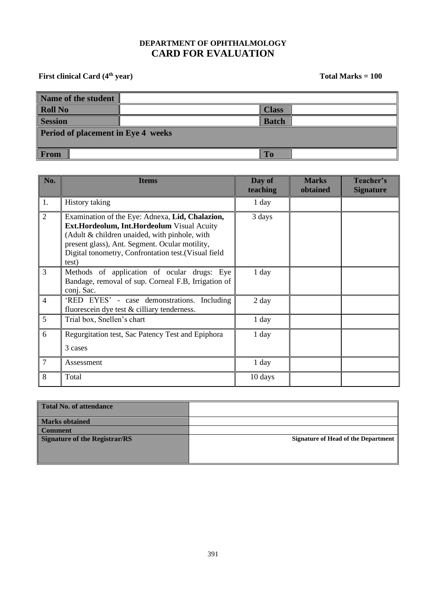#### **DEPARTMENT OF OPHTHALMOLOGY CARD FOR EVALUATION**

First clinical Card (4<sup>th</sup> year) Total Marks = 100

| Name of the student                       |              |  |
|-------------------------------------------|--------------|--|
| <b>Roll No</b>                            | <b>Class</b> |  |
| <b>Session</b>                            | <b>Batch</b> |  |
| <b>Period of placement in Eye 4 weeks</b> |              |  |
| <b>From</b>                               | To           |  |

| No.            | <b>Items</b>                                                                                                                                                                                                                                                      | Day of<br>teaching | <b>Marks</b><br>obtained | Teacher's<br><b>Signature</b> |
|----------------|-------------------------------------------------------------------------------------------------------------------------------------------------------------------------------------------------------------------------------------------------------------------|--------------------|--------------------------|-------------------------------|
| 1.             | History taking                                                                                                                                                                                                                                                    | $1$ day            |                          |                               |
| $\overline{2}$ | Examination of the Eye: Adnexa, Lid, Chalazion,<br>Ext.Hordeolum, Int.Hordeolum Visual Acuity<br>(Adult & children unaided, with pinhole, with<br>present glass), Ant. Segment. Ocular motility,<br>Digital tonometry, Confrontation test. (Visual field<br>test) | 3 days             |                          |                               |
| $\overline{3}$ | Methods of application of ocular drugs: Eye<br>Bandage, removal of sup. Corneal F.B, Irrigation of<br>conj. Sac.                                                                                                                                                  | $1$ day            |                          |                               |
| $\overline{4}$ | 'RED EYES' - case demonstrations. Including<br>fluorescein dye test & cilliary tenderness.                                                                                                                                                                        | $2 \text{ day}$    |                          |                               |
| 5              | Trial box, Snellen's chart                                                                                                                                                                                                                                        | $1$ day            |                          |                               |
| 6              | Regurgitation test, Sac Patency Test and Epiphora<br>3 cases                                                                                                                                                                                                      | 1 day              |                          |                               |
| $\overline{7}$ | Assessment                                                                                                                                                                                                                                                        | $1$ day            |                          |                               |
| 8              | Total                                                                                                                                                                                                                                                             | 10 days            |                          |                               |

| Total No. of attendance              |                                            |
|--------------------------------------|--------------------------------------------|
| <b>Marks obtained</b>                |                                            |
| Comment                              |                                            |
| <b>Signature of the Registrar/RS</b> | <b>Signature of Head of the Department</b> |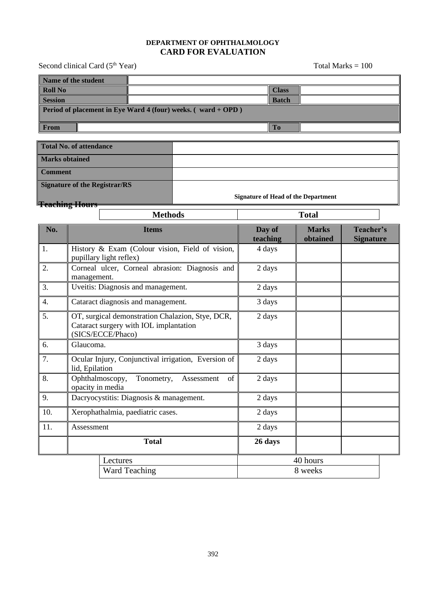#### **DEPARTMENT OF OPHTHALMOLOGY CARD FOR EVALUATION**

| Second clinical Card (5 <sup>th</sup> Year)                        |  |  |              | Total Marks $= 100$ |  |
|--------------------------------------------------------------------|--|--|--------------|---------------------|--|
| Name of the student                                                |  |  |              |                     |  |
| <b>Roll No</b>                                                     |  |  | <b>Class</b> |                     |  |
| <b>Session</b>                                                     |  |  | <b>Batch</b> |                     |  |
| Period of placement in Eye Ward 4 (four) weeks. $($ ward + OPD $)$ |  |  |              |                     |  |
| <b>From</b>                                                        |  |  | <b>To</b>    |                     |  |
|                                                                    |  |  |              |                     |  |
| <b>Total No. of attendance</b>                                     |  |  |              |                     |  |
| Marks obtained                                                     |  |  |              |                     |  |

| <b>Marks obtained</b>         |                    |                                            |
|-------------------------------|--------------------|--------------------------------------------|
| <b>Comment</b>                |                    |                                            |
| Signature of the Registrar/RS |                    |                                            |
|                               |                    | <b>Signature of Head of the Department</b> |
| <b>Feaching Hours</b>         |                    |                                            |
|                               | $M_{\alpha}$ ikada | $T_{\rm tot}$                              |

|                  | <b>Methods</b>                                                                                                  |                    | <b>Total</b>             |                               |
|------------------|-----------------------------------------------------------------------------------------------------------------|--------------------|--------------------------|-------------------------------|
| No.              | <b>Items</b>                                                                                                    | Day of<br>teaching | <b>Marks</b><br>obtained | Teacher's<br><b>Signature</b> |
| 1.               | History & Exam (Colour vision, Field of vision,<br>pupillary light reflex)                                      | 4 days             |                          |                               |
| 2.               | Corneal ulcer, Corneal abrasion: Diagnosis and<br>management.                                                   | 2 days             |                          |                               |
| 3.               | Uveitis: Diagnosis and management.                                                                              | 2 days             |                          |                               |
| $\overline{4}$ . | Cataract diagnosis and management.                                                                              | 3 days             |                          |                               |
| 5.               | OT, surgical demonstration Chalazion, Stye, DCR,<br>Cataract surgery with IOL implantation<br>(SICS/ECCE/Phaco) | 2 days             |                          |                               |
| 6.               | Glaucoma.                                                                                                       | 3 days             |                          |                               |
| 7.               | Ocular Injury, Conjunctival irrigation, Eversion of<br>lid, Epilation                                           | 2 days             |                          |                               |
| 8.               | Tonometry,<br>Ophthalmoscopy,<br>of<br>Assessment<br>opacity in media                                           | 2 days             |                          |                               |
| 9.               | Dacryocystitis: Diagnosis & management.                                                                         | 2 days             |                          |                               |
| 10.              | Xerophathalmia, paediatric cases.                                                                               | 2 days             |                          |                               |
| 11.              | Assessment                                                                                                      | 2 days             |                          |                               |
|                  | <b>Total</b>                                                                                                    | 26 days            |                          |                               |
|                  | Lectures                                                                                                        |                    | 40 hours                 |                               |
|                  | <b>Ward Teaching</b>                                                                                            |                    | 8 weeks                  |                               |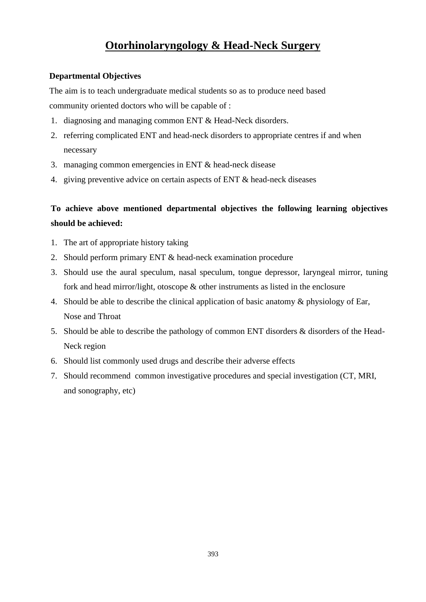## **Otorhinolaryngology & Head-Neck Surgery**

#### **Departmental Objectives**

The aim is to teach undergraduate medical students so as to produce need based community oriented doctors who will be capable of :

- 1. diagnosing and managing common ENT & Head-Neck disorders.
- 2. referring complicated ENT and head-neck disorders to appropriate centres if and when necessary
- 3. managing common emergencies in ENT & head-neck disease
- 4. giving preventive advice on certain aspects of ENT & head-neck diseases

### **To achieve above mentioned departmental objectives the following learning objectives should be achieved:**

- 1. The art of appropriate history taking
- 2. Should perform primary ENT & head-neck examination procedure
- 3. Should use the aural speculum, nasal speculum, tongue depressor, laryngeal mirror, tuning fork and head mirror/light, otoscope & other instruments as listed in the enclosure
- 4. Should be able to describe the clinical application of basic anatomy & physiology of Ear, Nose and Throat
- 5. Should be able to describe the pathology of common ENT disorders & disorders of the Head-Neck region
- 6. Should list commonly used drugs and describe their adverse effects
- 7. Should recommend common investigative procedures and special investigation (CT, MRI, and sonography, etc)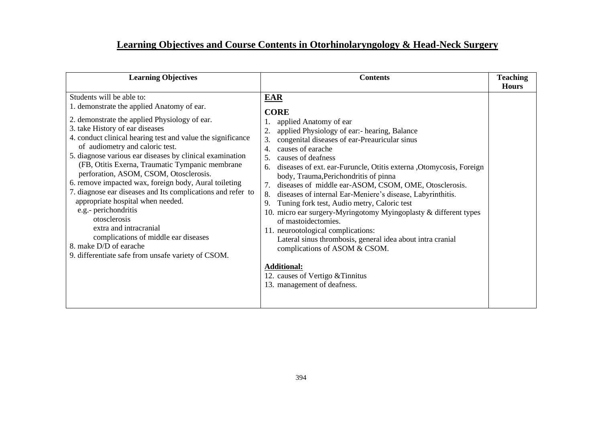## **Learning Objectives and Course Contents in Otorhinolaryngology & Head-Neck Surgery**

| <b>Learning Objectives</b>                                                                                                                                                                                                                                                                                                                                                                                                                                                                                                                                                                                                                                                                                                                                                    | <b>Contents</b>                                                                                                                                                                                                                                                                                                                                                                                                                                                                                                                                                                                                                                                                                                                                                                                                                                   | <b>Teaching</b> |
|-------------------------------------------------------------------------------------------------------------------------------------------------------------------------------------------------------------------------------------------------------------------------------------------------------------------------------------------------------------------------------------------------------------------------------------------------------------------------------------------------------------------------------------------------------------------------------------------------------------------------------------------------------------------------------------------------------------------------------------------------------------------------------|---------------------------------------------------------------------------------------------------------------------------------------------------------------------------------------------------------------------------------------------------------------------------------------------------------------------------------------------------------------------------------------------------------------------------------------------------------------------------------------------------------------------------------------------------------------------------------------------------------------------------------------------------------------------------------------------------------------------------------------------------------------------------------------------------------------------------------------------------|-----------------|
| Students will be able to:<br>1. demonstrate the applied Anatomy of ear.<br>2. demonstrate the applied Physiology of ear.<br>3. take History of ear diseases<br>4. conduct clinical hearing test and value the significance<br>of audiometry and caloric test.<br>5. diagnose various ear diseases by clinical examination<br>(FB, Otitis Exerna, Traumatic Tympanic membrane<br>perforation, ASOM, CSOM, Otosclerosis.<br>6. remove impacted wax, foreign body, Aural toileting<br>7. diagnose ear diseases and Its complications and refer to<br>appropriate hospital when needed.<br>e.g.- perichondritis<br>otosclerosis<br>extra and intracranial<br>complications of middle ear diseases<br>8. make D/D of earache<br>9. differentiate safe from unsafe variety of CSOM. | EAR<br><b>CORE</b><br>applied Anatomy of ear<br>applied Physiology of ear:- hearing, Balance<br>congenital diseases of ear-Preauricular sinus<br>3.<br>causes of earache<br>4.<br>causes of deafness<br>5.<br>diseases of ext. ear-Furuncle, Otitis externa , Otomycosis, Foreign<br>6.<br>body, Trauma, Perichondritis of pinna<br>diseases of middle ear-ASOM, CSOM, OME, Otosclerosis.<br>7.<br>diseases of internal Ear-Meniere's disease, Labyrinthitis.<br>8.<br>Tuning fork test, Audio metry, Caloric test<br>9.<br>10. micro ear surgery-Myringotomy Myingoplasty & different types<br>of mastoidectomies.<br>11. neurootological complications:<br>Lateral sinus thrombosis, general idea about intra cranial<br>complications of ASOM & CSOM.<br><b>Additional:</b><br>12. causes of Vertigo & Tinnitus<br>13. management of deafness. | <b>Hours</b>    |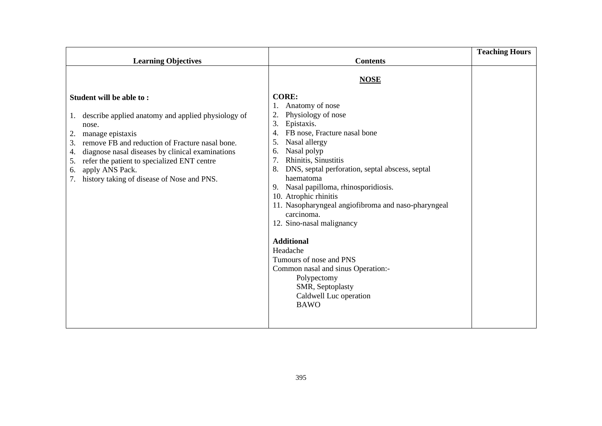|                                                                                                                                                                                                                                                                                                                                         |                                                                                                                                                                                                                                                                                                                                                                                                                                                                                                                                                                       | <b>Teaching Hours</b> |
|-----------------------------------------------------------------------------------------------------------------------------------------------------------------------------------------------------------------------------------------------------------------------------------------------------------------------------------------|-----------------------------------------------------------------------------------------------------------------------------------------------------------------------------------------------------------------------------------------------------------------------------------------------------------------------------------------------------------------------------------------------------------------------------------------------------------------------------------------------------------------------------------------------------------------------|-----------------------|
| <b>Learning Objectives</b>                                                                                                                                                                                                                                                                                                              | <b>Contents</b>                                                                                                                                                                                                                                                                                                                                                                                                                                                                                                                                                       |                       |
| Student will be able to:                                                                                                                                                                                                                                                                                                                | <b>NOSE</b><br><b>CORE:</b>                                                                                                                                                                                                                                                                                                                                                                                                                                                                                                                                           |                       |
|                                                                                                                                                                                                                                                                                                                                         | Anatomy of nose                                                                                                                                                                                                                                                                                                                                                                                                                                                                                                                                                       |                       |
| 1. describe applied anatomy and applied physiology of<br>nose.<br>manage epistaxis<br>2.<br>remove FB and reduction of Fracture nasal bone.<br>3.<br>diagnose nasal diseases by clinical examinations<br>4.<br>refer the patient to specialized ENT centre<br>5.<br>apply ANS Pack.<br>6.<br>history taking of disease of Nose and PNS. | Physiology of nose<br>Epistaxis.<br>3.<br>FB nose, Fracture nasal bone<br>Nasal allergy<br>5.<br>Nasal polyp<br>6.<br>Rhinitis, Sinustitis<br>DNS, septal perforation, septal abscess, septal<br>8.<br>haematoma<br>Nasal papilloma, rhinosporidiosis.<br>9.<br>10. Atrophic rhinitis<br>11. Nasopharyngeal angiofibroma and naso-pharyngeal<br>carcinoma.<br>12. Sino-nasal malignancy<br><b>Additional</b><br>Headache<br>Tumours of nose and PNS<br>Common nasal and sinus Operation:-<br>Polypectomy<br>SMR, Septoplasty<br>Caldwell Luc operation<br><b>BAWO</b> |                       |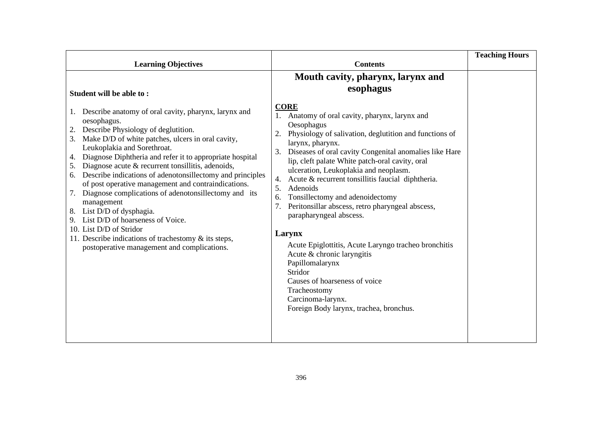|                                                                                                                                                                                                                                                                                                                                                                                                                                                                      |                                                                                                                                                                                                                                                                                                                                                                                                                                                  | <b>Teaching Hours</b> |
|----------------------------------------------------------------------------------------------------------------------------------------------------------------------------------------------------------------------------------------------------------------------------------------------------------------------------------------------------------------------------------------------------------------------------------------------------------------------|--------------------------------------------------------------------------------------------------------------------------------------------------------------------------------------------------------------------------------------------------------------------------------------------------------------------------------------------------------------------------------------------------------------------------------------------------|-----------------------|
|                                                                                                                                                                                                                                                                                                                                                                                                                                                                      |                                                                                                                                                                                                                                                                                                                                                                                                                                                  |                       |
| <b>Learning Objectives</b><br>Student will be able to:<br>Describe anatomy of oral cavity, pharynx, larynx and<br>1.<br>oesophagus.<br>Describe Physiology of deglutition.<br>Make D/D of white patches, ulcers in oral cavity,<br>3.<br>Leukoplakia and Sorethroat.<br>Diagnose Diphtheria and refer it to appropriate hospital<br>4.<br>Diagnose acute & recurrent tonsillitis, adenoids,<br>5.<br>Describe indications of adenotonsillectomy and principles<br>6. | <b>Contents</b><br>Mouth cavity, pharynx, larynx and<br>esophagus<br><b>CORE</b><br>1. Anatomy of oral cavity, pharynx, larynx and<br>Oesophagus<br>Physiology of salivation, deglutition and functions of<br>2.<br>larynx, pharynx.<br>Diseases of oral cavity Congenital anomalies like Hare<br>3.<br>lip, cleft palate White patch-oral cavity, oral<br>ulceration, Leukoplakia and neoplasm.                                                 |                       |
| of post operative management and contraindications.<br>Diagnose complications of adenotonsillectomy and its<br>7.<br>management<br>List D/D of dysphagia.<br>8.<br>List D/D of hoarseness of Voice.<br>9.<br>10. List D/D of Stridor<br>11. Describe indications of trachestomy & its steps,<br>postoperative management and complications.                                                                                                                          | Acute & recurrent tonsillitis faucial diphtheria.<br>4.<br>5.<br>Adenoids<br>Tonsillectomy and adenoidectomy<br>6.<br>Peritonsillar abscess, retro pharyngeal abscess,<br>parapharyngeal abscess.<br>Larynx<br>Acute Epiglottitis, Acute Laryngo tracheo bronchitis<br>Acute & chronic laryngitis<br>Papillomalarynx<br>Stridor<br>Causes of hoarseness of voice<br>Tracheostomy<br>Carcinoma-larynx.<br>Foreign Body larynx, trachea, bronchus. |                       |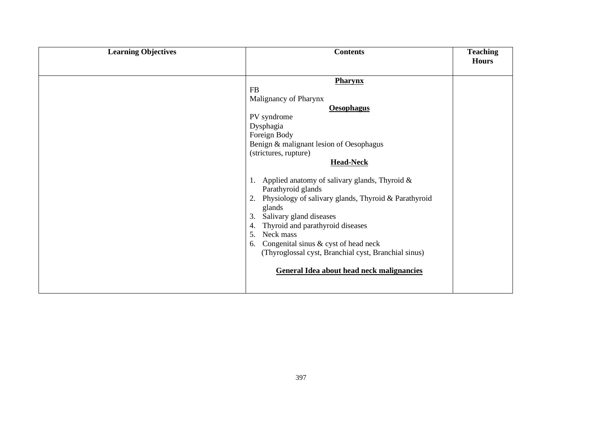| <b>Learning Objectives</b> | <b>Contents</b>                                                                                                                                                                                                                                                                                                                                                                                                                                                                                                                                                                                            | <b>Teaching</b><br><b>Hours</b> |
|----------------------------|------------------------------------------------------------------------------------------------------------------------------------------------------------------------------------------------------------------------------------------------------------------------------------------------------------------------------------------------------------------------------------------------------------------------------------------------------------------------------------------------------------------------------------------------------------------------------------------------------------|---------------------------------|
|                            | <b>Pharynx</b><br>FB<br>Malignancy of Pharynx<br><b>Oesophagus</b><br>PV syndrome<br>Dysphagia<br>Foreign Body<br>Benign & malignant lesion of Oesophagus<br>(strictures, rupture)<br><b>Head-Neck</b><br>1. Applied anatomy of salivary glands, Thyroid &<br>Parathyroid glands<br>2. Physiology of salivary glands, Thyroid & Parathyroid<br>glands<br>Salivary gland diseases<br>3.<br>Thyroid and parathyroid diseases<br>4.<br>Neck mass<br>5.<br>6. Congenital sinus & cyst of head neck<br>(Thyroglossal cyst, Branchial cyst, Branchial sinus)<br><b>General Idea about head neck malignancies</b> |                                 |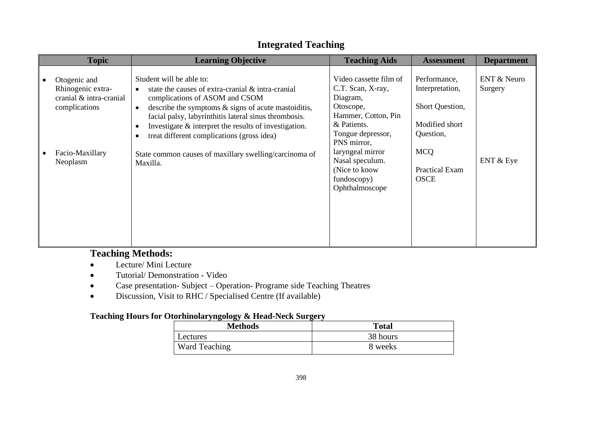| <b>Learning Objective</b>                                                                                                    | <b>Teaching Aids</b>                                                                    | <b>Assessment</b>                                            | <b>Department</b>                                     |
|------------------------------------------------------------------------------------------------------------------------------|-----------------------------------------------------------------------------------------|--------------------------------------------------------------|-------------------------------------------------------|
| Student will be able to:<br>state the causes of extra-cranial & intra-cranial                                                | Video cassette film of<br>C.T. Scan, X-ray,                                             | Performance,<br>Interpretation,                              | <b>ENT &amp; Neuro</b><br>Surgery                     |
| describe the symptoms $\&$ signs of acute mastoiditis,<br>$\bullet$<br>facial palsy, labyrinthitis lateral sinus thrombosis. | Otoscope,<br>Hammer, Cotton, Pin                                                        | Short Question,                                              |                                                       |
| $\bullet$<br>treat different complications (gross idea)<br>٠                                                                 | Tongue depressor,<br>PNS mirror,                                                        | Question,                                                    |                                                       |
| State common causes of maxillary swelling/carcinoma of<br>Maxilla.                                                           | Nasal speculum.                                                                         |                                                              | ENT & Eye                                             |
|                                                                                                                              | fundoscopy)<br>Ophthalmoscope                                                           | <b>OSCE</b>                                                  |                                                       |
|                                                                                                                              |                                                                                         |                                                              |                                                       |
|                                                                                                                              |                                                                                         |                                                              |                                                       |
|                                                                                                                              | complications of ASOM and CSOM<br>Investigate & interpret the results of investigation. | Diagram,<br>& Patients.<br>laryngeal mirror<br>(Nice to know | Modified short<br><b>MCQ</b><br><b>Practical Exam</b> |

### **Integrated Teaching**

## **Teaching Methods:**

- Lecture/ Mini Lecture
- Tutorial/ Demonstration Video
- Case presentation- Subject Operation- Programe side Teaching Theatres
- Discussion, Visit to RHC / Specialised Centre (If available)

#### **Teaching Hours for Otorhinolaryngology & Head-Neck Surgery**

| . .<br><b>Methods</b> | <b>Total</b> |
|-----------------------|--------------|
| Lectures              | 38 hours     |
| Ward Teaching         | 8 weeks      |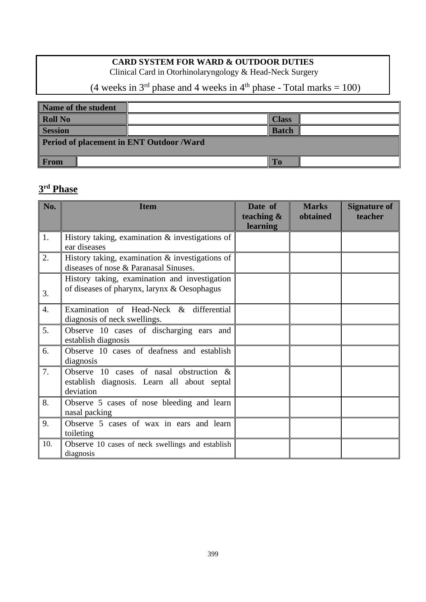#### **CARD SYSTEM FOR WARD & OUTDOOR DUTIES**

Clinical Card in Otorhinolaryngology & Head-Neck Surgery

(4 weeks in  $3<sup>rd</sup>$  phase and 4 weeks in  $4<sup>th</sup>$  phase - Total marks = 100)

| Name of the student                      |              |  |  |  |
|------------------------------------------|--------------|--|--|--|
| <b>Roll No</b>                           | <b>Class</b> |  |  |  |
| <b>Session</b>                           | <b>Batch</b> |  |  |  |
| Period of placement in ENT Outdoor /Ward |              |  |  |  |
|                                          |              |  |  |  |
| <b>From</b>                              | To           |  |  |  |

#### **3 rd Phase**

| No.              | <b>Item</b>                                                                                            | Date of<br>teaching $\&$<br><b>learning</b> | <b>Marks</b><br>obtained | Signature of<br>teacher |
|------------------|--------------------------------------------------------------------------------------------------------|---------------------------------------------|--------------------------|-------------------------|
| 1.               | History taking, examination $\&$ investigations of<br>ear diseases                                     |                                             |                          |                         |
| 2.               | History taking, examination $\&$ investigations of<br>diseases of nose & Paranasal Sinuses.            |                                             |                          |                         |
| 3.               | History taking, examination and investigation<br>of diseases of pharynx, larynx & Oesophagus           |                                             |                          |                         |
| $\overline{4}$ . | Examination of Head-Neck & differential<br>diagnosis of neck swellings.                                |                                             |                          |                         |
| 5.               | Observe 10 cases of discharging ears and<br>establish diagnosis                                        |                                             |                          |                         |
| 6.               | Observe 10 cases of deafness and establish<br>diagnosis                                                |                                             |                          |                         |
| 7.               | Observe 10 cases of nasal obstruction $\&$<br>establish diagnosis. Learn all about septal<br>deviation |                                             |                          |                         |
| 8.               | Observe 5 cases of nose bleeding and learn<br>nasal packing                                            |                                             |                          |                         |
| 9.               | Observe 5 cases of wax in ears and learn<br>toileting                                                  |                                             |                          |                         |
| 10.              | Observe 10 cases of neck swellings and establish<br>diagnosis                                          |                                             |                          |                         |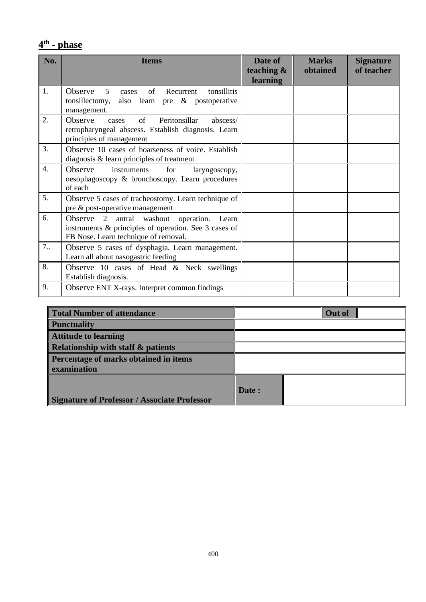#### **4 th - phase**

| No.              | <b>Items</b>                                                                                                                                  | Date of<br>teaching & | <b>Marks</b><br>obtained | <b>Signature</b><br>of teacher |
|------------------|-----------------------------------------------------------------------------------------------------------------------------------------------|-----------------------|--------------------------|--------------------------------|
|                  |                                                                                                                                               | learning              |                          |                                |
| 1.               | Observe<br>of<br>tonsillitis<br>Recurrent<br>5<br>cases<br>also learn pre & postoperative<br>tonsillectomy,<br>management.                    |                       |                          |                                |
| 2.               | <b>Observe</b><br>Peritonsillar<br>of<br>abscess/<br>cases<br>retropharyngeal abscess. Establish diagnosis. Learn<br>principles of management |                       |                          |                                |
| 3.               | Observe 10 cases of hoarseness of voice. Establish<br>diagnosis $\&$ learn principles of treatment                                            |                       |                          |                                |
| $\overline{4}$ . | Observe<br>instruments<br>for<br>laryngoscopy,<br>oesophagoscopy & bronchoscopy. Learn procedures<br>of each                                  |                       |                          |                                |
| 5.               | Observe 5 cases of tracheostomy. Learn technique of<br>pre & post-operative management                                                        |                       |                          |                                |
| 6.               | Observe 2 antral washout operation. Learn<br>instruments & principles of operation. See 3 cases of<br>FB Nose. Learn technique of removal.    |                       |                          |                                |
| 7.               | Observe 5 cases of dysphagia. Learn management.<br>Learn all about nasogastric feeding                                                        |                       |                          |                                |
| 8.               | Observe 10 cases of Head & Neck swellings<br>Establish diagnosis.                                                                             |                       |                          |                                |
| 9.               | Observe ENT X-rays. Interpret common findings                                                                                                 |                       |                          |                                |

| Total Number of attendance                          |       | <b>Out of</b> |  |
|-----------------------------------------------------|-------|---------------|--|
| <b>Punctuality</b>                                  |       |               |  |
| <b>Attitude to learning</b>                         |       |               |  |
| Relationship with staff & patients                  |       |               |  |
| <b>Percentage of marks obtained in items</b>        |       |               |  |
| examination                                         |       |               |  |
|                                                     |       |               |  |
|                                                     | Date: |               |  |
| <b>Signature of Professor / Associate Professor</b> |       |               |  |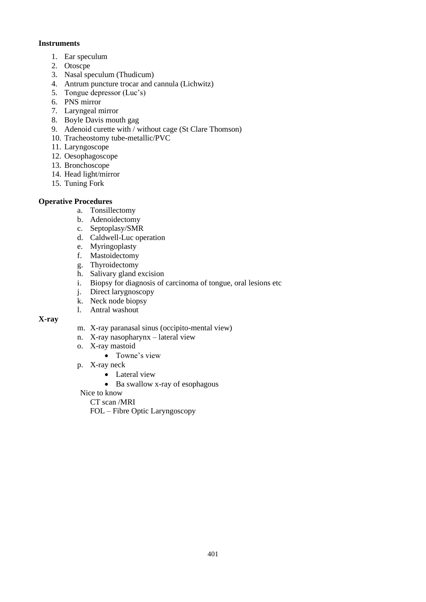#### **Instruments**

- 1. Ear speculum
- 2. Otoscpe
- 3. Nasal speculum (Thudicum)
- 4. Antrum puncture trocar and cannula (Lichwitz)
- 5. Tongue depressor (Luc's)
- 6. PNS mirror
- 7. Laryngeal mirror
- 8. Boyle Davis mouth gag
- 9. Adenoid curette with / without cage (St Clare Thomson)
- 10. Tracheostomy tube-metallic/PVC
- 11. Laryngoscope
- 12. Oesophagoscope
- 13. Bronchoscope
- 14. Head light/mirror
- 15. Tuning Fork

#### **Operative Procedures**

- a. Tonsillectomy
- b. Adenoidectomy
- c. Septoplasy/SMR
- d. Caldwell-Luc operation
- e. Myringoplasty
- f. Mastoidectomy
- g. Thyroidectomy
- h. Salivary gland excision
- i. Biopsy for diagnosis of carcinoma of tongue, oral lesions etc
- j. Direct larygnoscopy
- k. Neck node biopsy
- l. Antral washout

#### **X-ray**

- m. X-ray paranasal sinus (occipito-mental view)
- n. X-ray nasopharynx lateral view
- o. X-ray mastoid
	- Towne's view
- p. X-ray neck
	- Lateral view
		- Ba swallow x-ray of esophagous
- Nice to know
	- CT scan /MRI

FOL – Fibre Optic Laryngoscopy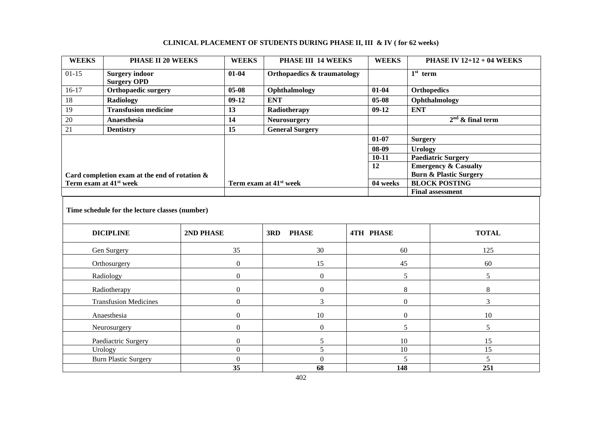| <b>WEEKS</b>                                   | PHASE II 20 WEEKS                                     |                                    | <b>WEEKS</b>        | PHASE III 14 WEEKS                     |              | <b>WEEKS</b>     |                                                           | <b>PHASE IV 12+12 + 04 WEEKS</b> |
|------------------------------------------------|-------------------------------------------------------|------------------------------------|---------------------|----------------------------------------|--------------|------------------|-----------------------------------------------------------|----------------------------------|
| $01-15$                                        | <b>Surgery indoor</b><br><b>Surgery OPD</b>           |                                    | $01 - 04$           | <b>Orthopaedics &amp; traumatology</b> |              |                  | $1st$ term                                                |                                  |
| $16-17$                                        | <b>Orthopaedic surgery</b>                            |                                    | $05-08$             | Ophthalmology                          |              | $01 - 04$        | <b>Orthopedics</b>                                        |                                  |
| 18                                             | <b>Radiology</b>                                      |                                    | $09-12$             | <b>ENT</b>                             |              | $05 - 08$        |                                                           | Ophthalmology                    |
| $\overline{19}$                                | <b>Transfusion medicine</b>                           |                                    | 13                  | Radiotherapy                           |              | $09-12$          | <b>ENT</b>                                                |                                  |
| 20                                             | Anaesthesia                                           |                                    | 14                  | <b>Neurosurgery</b>                    |              |                  | $2nd$ & final term                                        |                                  |
| 21                                             | <b>Dentistry</b>                                      |                                    | 15                  | <b>General Surgery</b>                 |              |                  |                                                           |                                  |
|                                                |                                                       |                                    |                     |                                        |              | $01 - 07$        | <b>Surgery</b>                                            |                                  |
|                                                |                                                       |                                    |                     |                                        |              | 08-09            | <b>Urology</b>                                            |                                  |
|                                                |                                                       |                                    |                     |                                        |              | $10 - 11$        |                                                           | <b>Paediatric Surgery</b>        |
|                                                |                                                       |                                    |                     |                                        |              | $\overline{12}$  |                                                           | <b>Emergency &amp; Casualty</b>  |
| Term exam at 41 <sup>st</sup> week             | Card completion exam at the end of rotation &         |                                    |                     | Term exam at 41 <sup>st</sup> week     |              | 04 weeks         | <b>Burn &amp; Plastic Surgery</b><br><b>BLOCK POSTING</b> |                                  |
|                                                |                                                       |                                    |                     |                                        |              |                  | <b>Final assessment</b>                                   |                                  |
| Time schedule for the lecture classes (number) |                                                       |                                    |                     |                                        | <b>TOTAL</b> |                  |                                                           |                                  |
|                                                | <b>DICIPLINE</b>                                      | 2ND PHASE                          |                     | 3RD<br><b>PHASE</b>                    |              | <b>4TH PHASE</b> |                                                           |                                  |
| Gen Surgery                                    |                                                       |                                    | 35                  | 30                                     |              | 60               |                                                           | 125                              |
| Orthosurgery                                   |                                                       |                                    | $\boldsymbol{0}$    | 15                                     |              | 45               |                                                           | 60                               |
| Radiology                                      |                                                       |                                    | $\overline{0}$      | $\boldsymbol{0}$                       | 5            |                  |                                                           | 5                                |
| Radiotherapy                                   |                                                       |                                    | $\boldsymbol{0}$    | $\boldsymbol{0}$                       | $8\,$        |                  |                                                           | $\,8\,$                          |
| <b>Transfusion Medicines</b>                   |                                                       | $\Omega$                           | 3<br>$\overline{0}$ |                                        |              | 3                |                                                           |                                  |
| Anaesthesia                                    |                                                       |                                    | $\boldsymbol{0}$    | 10                                     |              | $\boldsymbol{0}$ |                                                           | 10                               |
|                                                | Neurosurgery                                          | $\overline{0}$<br>$\boldsymbol{0}$ |                     | 5                                      |              | 5                |                                                           |                                  |
|                                                | Paediactric Surgery<br>$\boldsymbol{0}$<br>$\sqrt{5}$ |                                    | 10                  |                                        | 15           |                  |                                                           |                                  |
|                                                | Urology                                               |                                    | $\boldsymbol{0}$    | 5                                      |              | 10               |                                                           | 15                               |
|                                                | <b>Burn Plastic Surgery</b>                           |                                    | $\boldsymbol{0}$    | $\boldsymbol{0}$                       | 5            |                  |                                                           | 5                                |
|                                                |                                                       |                                    | $\overline{35}$     | 68                                     |              | 148              |                                                           | 251                              |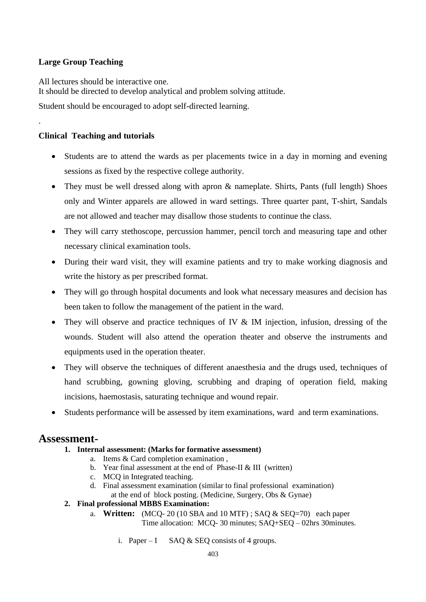#### **Large Group Teaching**

.

All lectures should be interactive one. It should be directed to develop analytical and problem solving attitude. Student should be encouraged to adopt self-directed learning.

#### **Clinical Teaching and tutorials**

- Students are to attend the wards as per placements twice in a day in morning and evening sessions as fixed by the respective college authority.
- They must be well dressed along with apron & nameplate. Shirts, Pants (full length) Shoes only and Winter apparels are allowed in ward settings. Three quarter pant, T-shirt, Sandals are not allowed and teacher may disallow those students to continue the class.
- They will carry stethoscope, percussion hammer, pencil torch and measuring tape and other necessary clinical examination tools.
- During their ward visit, they will examine patients and try to make working diagnosis and write the history as per prescribed format.
- They will go through hospital documents and look what necessary measures and decision has been taken to follow the management of the patient in the ward.
- They will observe and practice techniques of IV & IM injection, infusion, dressing of the wounds. Student will also attend the operation theater and observe the instruments and equipments used in the operation theater.
- They will observe the techniques of different anaesthesia and the drugs used, techniques of hand scrubbing, gowning gloving, scrubbing and draping of operation field, making incisions, haemostasis, saturating technique and wound repair.
- Students performance will be assessed by item examinations, ward and term examinations.

#### **Assessment-**

- **1. Internal assessment: (Marks for formative assessment)**
	- a. Items & Card completion examination ,
		- b. Year final assessment at the end of Phase-II & III (written)
		- c. MCQ in Integrated teaching.
		- d. Final assessment examination (similar to final professional examination) at the end of block posting. (Medicine, Surgery, Obs & Gynae)
	- **2. Final professional MBBS Examination:**
		- a. **Written:** (MCQ- 20 (10 SBA and 10 MTF) ; SAQ & SEQ=70) each paper Time allocation: MCQ- 30 minutes; SAQ+SEQ – 02hrs 30minutes.
			- i. Paper I SAQ  $&$  SEQ consists of 4 groups.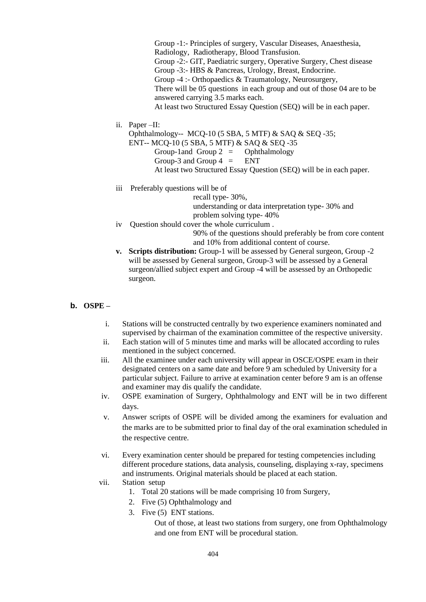Group -1:- Principles of surgery, Vascular Diseases, Anaesthesia, Radiology, Radiotherapy, Blood Transfusion. Group -2:- GIT, Paediatric surgery, Operative Surgery, Chest disease Group -3:- HBS & Pancreas, Urology, Breast, Endocrine. Group -4 :- Orthopaedics & Traumatology, Neurosurgery, There will be 05 questions in each group and out of those 04 are to be answered carrying 3.5 marks each. At least two Structured Essay Question (SEQ) will be in each paper.

ii. Paper –II:

Ophthalmology-- MCQ-10 (5 SBA, 5 MTF) & SAQ & SEQ -35; ENT-- MCQ-10 (5 SBA, 5 MTF) & SAQ & SEQ -35 Group-1and Group  $2 =$  Ophthalmology Group-3 and Group  $4 = \text{ENT}$ At least two Structured Essay Question (SEQ) will be in each paper.

iii Preferably questions will be of recall type- 30%, understanding or data interpretation type- 30% and problem solving type- 40%

iv Question should cover the whole curriculum .

90% of the questions should preferably be from core content and 10% from additional content of course.

- **v. Scripts distribution:** Group-1 will be assessed by General surgeon, Group -2 will be assessed by General surgeon, Group-3 will be assessed by a General surgeon/allied subject expert and Group -4 will be assessed by an Orthopedic surgeon.
- **b. OSPE –**
	- i. Stations will be constructed centrally by two experience examiners nominated and supervised by chairman of the examination committee of the respective university.
	- ii. Each station will of 5 minutes time and marks will be allocated according to rules mentioned in the subject concerned.
	- iii. All the examinee under each university will appear in OSCE/OSPE exam in their designated centers on a same date and before 9 am scheduled by University for a particular subject. Failure to arrive at examination center before 9 am is an offense and examiner may dis qualify the candidate.
	- iv. OSPE examination of Surgery, Ophthalmology and ENT will be in two different days.
	- v. Answer scripts of OSPE will be divided among the examiners for evaluation and the marks are to be submitted prior to final day of the oral examination scheduled in the respective centre.
	- vi. Every examination center should be prepared for testing competencies including different procedure stations, data analysis, counseling, displaying x-ray, specimens and instruments. Original materials should be placed at each station.
	- vii. Station setup
		- 1. Total 20 stations will be made comprising 10 from Surgery,
		- 2. Five (5) Ophthalmology and
		- 3. Five (5) ENT stations.

Out of those, at least two stations from surgery, one from Ophthalmology and one from ENT will be procedural station.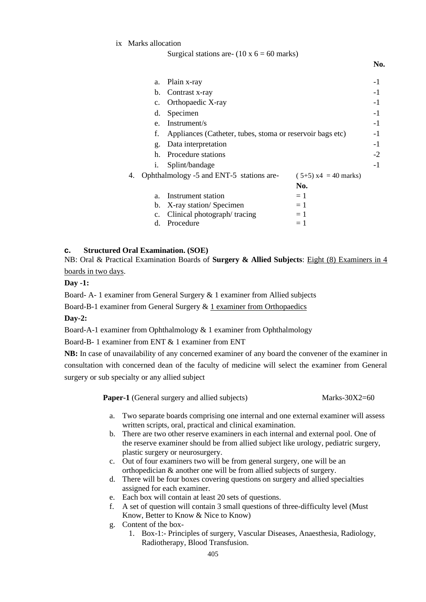ix Marks allocation

Surgical stations are-  $(10 \times 6 = 60 \text{ marks})$ 

|    | a.                      | Plain x-ray                                               |                        | -1   |  |
|----|-------------------------|-----------------------------------------------------------|------------------------|------|--|
|    | b.                      | Contrast x-ray                                            |                        | $-1$ |  |
|    | Orthopaedic X-ray<br>c. |                                                           |                        |      |  |
|    | Specimen<br>d.          |                                                           |                        |      |  |
|    | $e_{-}$                 | Instrument/s                                              |                        | $-1$ |  |
|    | f.                      | Appliances (Catheter, tubes, stoma or reservoir bags etc) |                        | $-1$ |  |
|    | g.                      | Data interpretation                                       |                        | $-1$ |  |
|    | h.                      | Procedure stations                                        |                        | $-2$ |  |
|    | 1.                      | Splint/bandage                                            |                        | $-1$ |  |
| 4. |                         | Ophthalmology -5 and ENT-5 stations are-                  | $(5+5)$ x4 = 40 marks) |      |  |
|    |                         |                                                           | No.                    |      |  |
|    | a.                      | Instrument station                                        | $=1$                   |      |  |
|    | b.                      | X-ray station/Specimen                                    | $=1$                   |      |  |
|    | $\mathbf{c}$ .          | Clinical photograph/tracing                               | $=1$                   |      |  |
|    | d.                      | Procedure                                                 | $=1$                   |      |  |

**No.**

#### **c. Structured Oral Examination. (SOE)**

NB: Oral & Practical Examination Boards of **Surgery & Allied Subjects**: Eight (8) Examiners in 4 boards in two days.

#### **Day -1:**

Board- A- 1 examiner from General Surgery & 1 examiner from Allied subjects

Board-B-1 examiner from General Surgery & 1 examiner from Orthopaedics

#### **Day-2:**

Board-A-1 examiner from Ophthalmology & 1 examiner from Ophthalmology

Board-B- 1 examiner from ENT & 1 examiner from ENT

**NB:** In case of unavailability of any concerned examiner of any board the convener of the examiner in consultation with concerned dean of the faculty of medicine will select the examiner from General surgery or sub specialty or any allied subject

| <b>Paper-1</b> (General surgery and allied subjects) | Marks- $30X2=60$ |
|------------------------------------------------------|------------------|
|------------------------------------------------------|------------------|

- a. Two separate boards comprising one internal and one external examiner will assess written scripts, oral, practical and clinical examination.
- b. There are two other reserve examiners in each internal and external pool. One of the reserve examiner should be from allied subject like urology, pediatric surgery, plastic surgery or neurosurgery.
- c. Out of four examiners two will be from general surgery, one will be an orthopedician & another one will be from allied subjects of surgery.
- d. There will be four boxes covering questions on surgery and allied specialties assigned for each examiner.
- e. Each box will contain at least 20 sets of questions.
- f. A set of question will contain 3 small questions of three-difficulty level (Must Know, Better to Know & Nice to Know)
- g. Content of the box-
	- 1. Box-1:- Principles of surgery, Vascular Diseases, Anaesthesia, Radiology, Radiotherapy, Blood Transfusion.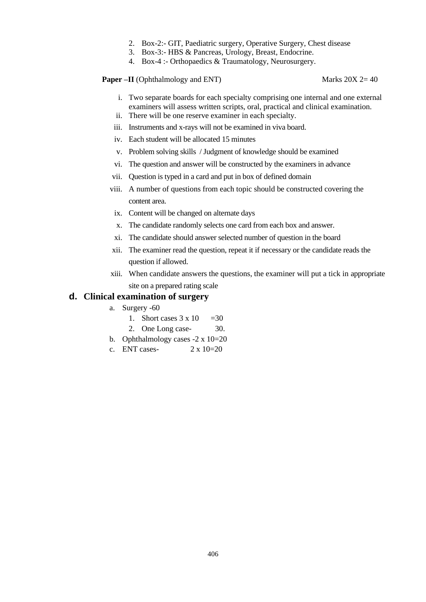- 2. Box-2:- GIT, Paediatric surgery, Operative Surgery, Chest disease
- 3. Box-3:- HBS & Pancreas, Urology, Breast, Endocrine.
- 4. Box-4 :- Orthopaedics & Traumatology, Neurosurgery.

#### **Paper –II** (Ophthalmology and ENT) Marks 20X 2= 40

- i. Two separate boards for each specialty comprising one internal and one external examiners will assess written scripts, oral, practical and clinical examination.
- ii. There will be one reserve examiner in each specialty.
- iii. Instruments and x-rays will not be examined in viva board.
- iv. Each student will be allocated 15 minutes
- v. Problem solving skills / Judgment of knowledge should be examined
- vi. The question and answer will be constructed by the examiners in advance
- vii. Question is typed in a card and put in box of defined domain
- viii. A number of questions from each topic should be constructed covering the content area.
	- ix. Content will be changed on alternate days
	- x. The candidate randomly selects one card from each box and answer.
	- xi. The candidate should answer selected number of question in the board
- xii. The examiner read the question, repeat it if necessary or the candidate reads the question if allowed.
- xiii. When candidate answers the questions, the examiner will put a tick in appropriate site on a prepared rating scale

#### **d. Clinical examination of surgery**

- a. Surgery -60
	- 1. Short cases  $3 \times 10 = 30$
	- 2. One Long case- 30.
- b. Ophthalmology cases -2 x 10=20
- c. ENT cases-  $2 \times 10=20$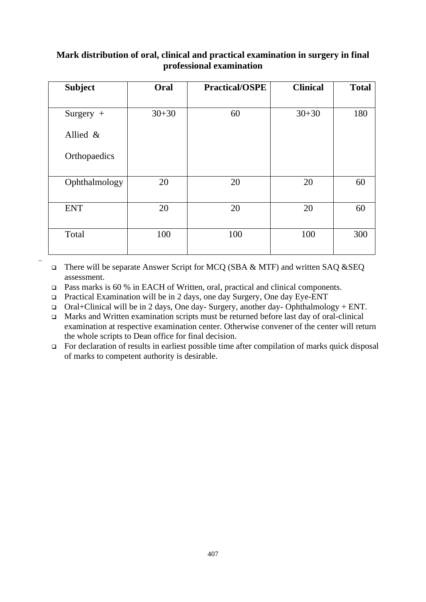#### **Mark distribution of oral, clinical and practical examination in surgery in final professional examination**

| <b>Subject</b> | Oral      | <b>Practical/OSPE</b> | <b>Clinical</b> | <b>Total</b> |
|----------------|-----------|-----------------------|-----------------|--------------|
|                |           |                       |                 |              |
| Surgery $+$    | $30 + 30$ | 60                    | $30 + 30$       | 180          |
| Allied $\&$    |           |                       |                 |              |
| Orthopaedics   |           |                       |                 |              |
| Ophthalmology  | 20        | 20                    | 20              | 60           |
| <b>ENT</b>     | 20        | 20                    | 20              | 60           |
| Total          | 100       | 100                   | 100             | 300          |

There will be separate Answer Script for MCQ (SBA & MTF) and written SAQ &SEQ assessment.

❑ Pass marks is 60 % in EACH of Written, oral, practical and clinical components.

❑ Practical Examination will be in 2 days, one day Surgery, One day Eye-ENT

ssss

 $\Box$  Oral+Clinical will be in 2 days, One day- Surgery, another day- Ophthalmology + ENT.

❑ Marks and Written examination scripts must be returned before last day of oral-clinical examination at respective examination center. Otherwise convener of the center will return the whole scripts to Dean office for final decision.

❑ For declaration of results in earliest possible time after compilation of marks quick disposal of marks to competent authority is desirable.